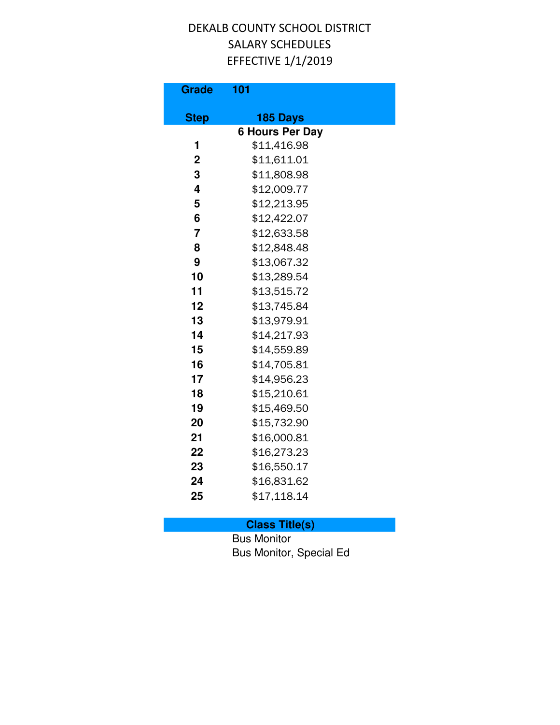| <b>Grade</b>   | 101                                |
|----------------|------------------------------------|
|                |                                    |
| <b>Step</b>    | 185 Days<br><b>6 Hours Per Day</b> |
| 1              | \$11,416.98                        |
| $\overline{2}$ | \$11,611.01                        |
| 3              | \$11,808.98                        |
| 4              | \$12,009.77                        |
| 5              | \$12,213.95                        |
| 6              | \$12,422.07                        |
| $\overline{7}$ | \$12,633.58                        |
| 8              | \$12,848.48                        |
| 9              | \$13,067.32                        |
| 10             | \$13,289.54                        |
| 11             | \$13,515.72                        |
| 12             | \$13,745.84                        |
| 13             | \$13,979.91                        |
| 14             | \$14,217.93                        |
| 15             | \$14,559.89                        |
| 16             | \$14,705.81                        |
| 17             | \$14,956.23                        |
| 18             | \$15,210.61                        |
| 19             | \$15,469.50                        |
| 20             | \$15,732.90                        |
| 21             | \$16,000.81                        |
| 22             | \$16,273.23                        |
| 23             | \$16,550.17                        |
| 24             | \$16,831.62                        |
| 25             | \$17,118.14                        |
|                |                                    |

# **Class Title(s)**

Bus Monitor Bus Monitor, Special Ed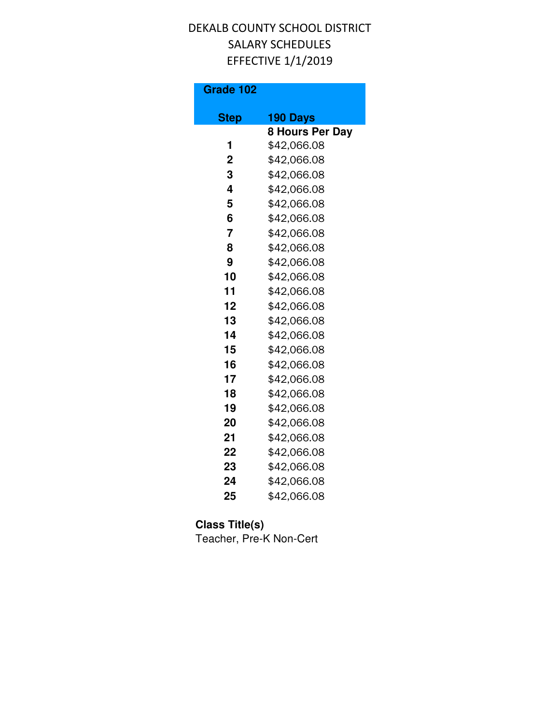| Grade 102      |                        |
|----------------|------------------------|
| <b>Step</b>    | 190 Days               |
|                | <b>8 Hours Per Day</b> |
| 1              | \$42,066.08            |
| $\overline{2}$ | \$42,066.08            |
| 3              | \$42,066.08            |
| 4              | \$42,066.08            |
| 5              | \$42,066.08            |
| 6              | \$42,066.08            |
| 7              | \$42,066.08            |
| 8              | \$42,066.08            |
| 9              | \$42,066.08            |
| 10             | \$42,066.08            |
| 11             | \$42,066.08            |
| 12             | \$42,066.08            |
| 13             | \$42,066.08            |
| 14             | \$42,066.08            |
| 15             | \$42,066.08            |
| 16             | \$42,066.08            |
| 17             | \$42,066.08            |
| 18             | \$42,066.08            |
| 19             | \$42,066.08            |
| 20             | \$42,066.08            |
| 21             | \$42,066.08            |
| 22             | \$42,066.08            |
| 23             | \$42,066.08            |
| 24             | \$42,066.08            |
| 25             | \$42,066.08            |

### **Class Title(s)**

Teacher, Pre-K Non-Cert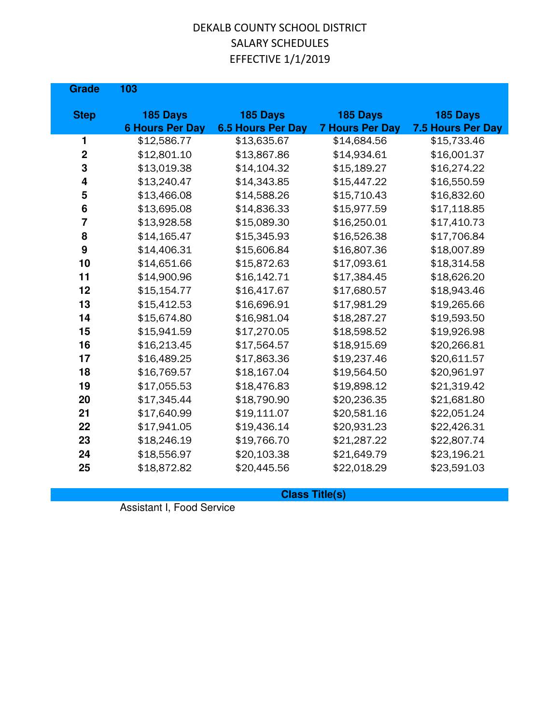| <b>Grade</b>   | 103                    |                          |                        |                   |
|----------------|------------------------|--------------------------|------------------------|-------------------|
| <b>Step</b>    | 185 Days               | 185 Days                 | 185 Days               | 185 Days          |
|                | <b>6 Hours Per Day</b> | <b>6.5 Hours Per Day</b> | <b>7 Hours Per Day</b> | 7.5 Hours Per Day |
| 1              | \$12,586.77            | \$13,635.67              | \$14,684.56            | \$15,733.46       |
| $\mathbf 2$    | \$12,801.10            | \$13,867.86              | \$14,934.61            | \$16,001.37       |
| 3              | \$13,019.38            | \$14,104.32              | \$15,189.27            | \$16,274.22       |
| 4              | \$13,240.47            | \$14,343.85              | \$15,447.22            | \$16,550.59       |
| 5              | \$13,466.08            | \$14,588.26              | \$15,710.43            | \$16,832.60       |
| $6\phantom{1}$ | \$13,695.08            | \$14,836.33              | \$15,977.59            | \$17,118.85       |
| $\overline{7}$ | \$13,928.58            | \$15,089.30              | \$16,250.01            | \$17,410.73       |
| 8              | \$14,165.47            | \$15,345.93              | \$16,526.38            | \$17,706.84       |
| 9              | \$14,406.31            | \$15,606.84              | \$16,807.36            | \$18,007.89       |
| 10             | \$14,651.66            | \$15,872.63              | \$17,093.61            | \$18,314.58       |
| 11             | \$14,900.96            | \$16,142.71              | \$17,384.45            | \$18,626.20       |
| 12             | \$15,154.77            | \$16,417.67              | \$17,680.57            | \$18,943.46       |
| 13             | \$15,412.53            | \$16,696.91              | \$17,981.29            | \$19,265.66       |
| 14             | \$15,674.80            | \$16,981.04              | \$18,287.27            | \$19,593.50       |
| 15             | \$15,941.59            | \$17,270.05              | \$18,598.52            | \$19,926.98       |
| 16             | \$16,213.45            | \$17,564.57              | \$18,915.69            | \$20,266.81       |
| 17             | \$16,489.25            | \$17,863.36              | \$19,237.46            | \$20,611.57       |
| 18             | \$16,769.57            | \$18,167.04              | \$19,564.50            | \$20,961.97       |
| 19             | \$17,055.53            | \$18,476.83              | \$19,898.12            | \$21,319.42       |
| 20             | \$17,345.44            | \$18,790.90              | \$20,236.35            | \$21,681.80       |
| 21             | \$17,640.99            | \$19,111.07              | \$20,581.16            | \$22,051.24       |
| 22             | \$17,941.05            | \$19,436.14              | \$20,931.23            | \$22,426.31       |
| 23             | \$18,246.19            | \$19,766.70              | \$21,287.22            | \$22,807.74       |
| 24             | \$18,556.97            | \$20,103.38              | \$21,649.79            | \$23,196.21       |
| 25             | \$18,872.82            | \$20,445.56              | \$22,018.29            | \$23,591.03       |
|                |                        |                          |                        |                   |

**Class Title(s)**

Assistant I, Food Service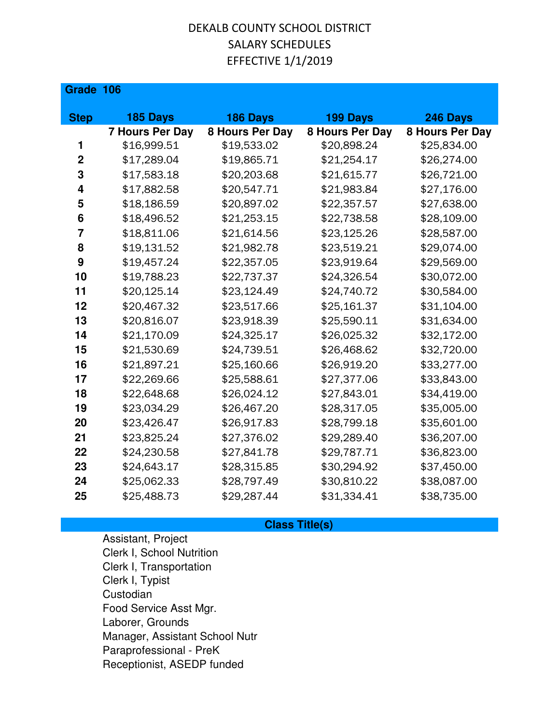| Grade 106       |                        |                 |                 |                 |
|-----------------|------------------------|-----------------|-----------------|-----------------|
|                 |                        |                 |                 |                 |
| <b>Step</b>     | 185 Days               | 186 Days        | 199 Days        | 246 Days        |
|                 | <b>7 Hours Per Day</b> | 8 Hours Per Day | 8 Hours Per Day | 8 Hours Per Day |
| 1               | \$16,999.51            | \$19,533.02     | \$20,898.24     | \$25,834.00     |
| $\overline{2}$  | \$17,289.04            | \$19,865.71     | \$21,254.17     | \$26,274.00     |
| 3               | \$17,583.18            | \$20,203.68     | \$21,615.77     | \$26,721.00     |
| 4               | \$17,882.58            | \$20,547.71     | \$21,983.84     | \$27,176.00     |
| 5               | \$18,186.59            | \$20,897.02     | \$22,357.57     | \$27,638.00     |
| $6\phantom{1}6$ | \$18,496.52            | \$21,253.15     | \$22,738.58     | \$28,109.00     |
| $\overline{7}$  | \$18,811.06            | \$21,614.56     | \$23,125.26     | \$28,587.00     |
| 8               | \$19,131.52            | \$21,982.78     | \$23,519.21     | \$29,074.00     |
| 9               | \$19,457.24            | \$22,357.05     | \$23,919.64     | \$29,569.00     |
| 10              | \$19,788.23            | \$22,737.37     | \$24,326.54     | \$30,072.00     |
| 11              | \$20,125.14            | \$23,124.49     | \$24,740.72     | \$30,584.00     |
| 12              | \$20,467.32            | \$23,517.66     | \$25,161.37     | \$31,104.00     |
| 13              | \$20,816.07            | \$23,918.39     | \$25,590.11     | \$31,634.00     |
| 14              | \$21,170.09            | \$24,325.17     | \$26,025.32     | \$32,172.00     |
| 15              | \$21,530.69            | \$24,739.51     | \$26,468.62     | \$32,720.00     |
| 16              | \$21,897.21            | \$25,160.66     | \$26,919.20     | \$33,277.00     |
| 17              | \$22,269.66            | \$25,588.61     | \$27,377.06     | \$33,843.00     |
| 18              | \$22,648.68            | \$26,024.12     | \$27,843.01     | \$34,419.00     |
| 19              | \$23,034.29            | \$26,467.20     | \$28,317.05     | \$35,005.00     |
| 20              | \$23,426.47            | \$26,917.83     | \$28,799.18     | \$35,601.00     |
| 21              | \$23,825.24            | \$27,376.02     | \$29,289.40     | \$36,207.00     |
| 22              | \$24,230.58            | \$27,841.78     | \$29,787.71     | \$36,823.00     |
| 23              | \$24,643.17            | \$28,315.85     | \$30,294.92     | \$37,450.00     |
| 24              | \$25,062.33            | \$28,797.49     | \$30,810.22     | \$38,087.00     |
| 25              | \$25,488.73            | \$29,287.44     | \$31,334.41     | \$38,735.00     |

#### **Class Title(s)**

Assistant, Project Clerk I, School Nutrition Clerk I, Transportation Clerk I, Typist Custodian Food Service Asst Mgr. Laborer, Grounds Manager, Assistant School Nutr Paraprofessional - PreK Receptionist, ASEDP funded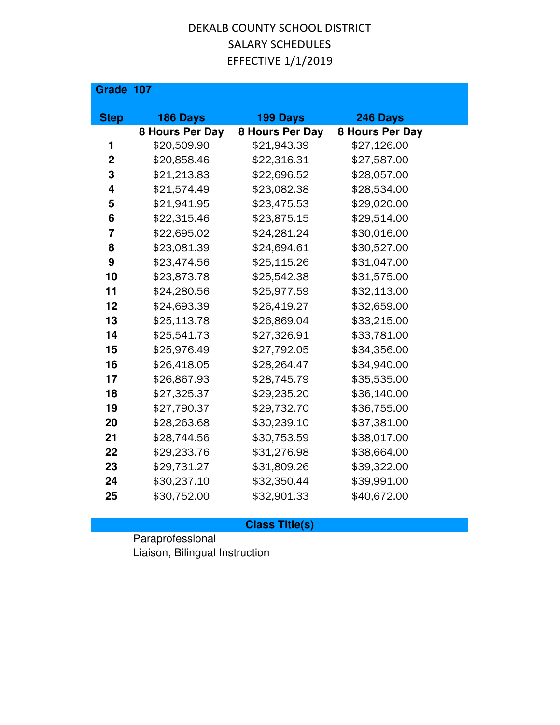| Grade 107      |                 |                 |                 |
|----------------|-----------------|-----------------|-----------------|
| <b>Step</b>    | 186 Days        | 199 Days        | 246 Days        |
|                | 8 Hours Per Day | 8 Hours Per Day | 8 Hours Per Day |
| 1              | \$20,509.90     | \$21,943.39     | \$27,126.00     |
| $\overline{2}$ | \$20,858.46     | \$22,316.31     | \$27,587.00     |
| 3              | \$21,213.83     | \$22,696.52     | \$28,057.00     |
| 4              | \$21,574.49     | \$23,082.38     | \$28,534.00     |
| 5              | \$21,941.95     | \$23,475.53     | \$29,020.00     |
| 6              | \$22,315.46     | \$23,875.15     | \$29,514.00     |
| 7              | \$22,695.02     | \$24,281.24     | \$30,016.00     |
| 8              | \$23,081.39     | \$24,694.61     | \$30,527.00     |
| 9              | \$23,474.56     | \$25,115.26     | \$31,047.00     |
| 10             | \$23,873.78     | \$25,542.38     | \$31,575.00     |
| 11             | \$24,280.56     | \$25,977.59     | \$32,113.00     |
| 12             | \$24,693.39     | \$26,419.27     | \$32,659.00     |
| 13             | \$25,113.78     | \$26,869.04     | \$33,215.00     |
| 14             | \$25,541.73     | \$27,326.91     | \$33,781.00     |
| 15             | \$25,976.49     | \$27,792.05     | \$34,356.00     |
| 16             | \$26,418.05     | \$28,264.47     | \$34,940.00     |
| 17             | \$26,867.93     | \$28,745.79     | \$35,535.00     |
| 18             | \$27,325.37     | \$29,235.20     | \$36,140.00     |
| 19             | \$27,790.37     | \$29,732.70     | \$36,755.00     |
| 20             | \$28,263.68     | \$30,239.10     | \$37,381.00     |
| 21             | \$28,744.56     | \$30,753.59     | \$38,017.00     |
| 22             | \$29,233.76     | \$31,276.98     | \$38,664.00     |
| 23             | \$29,731.27     | \$31,809.26     | \$39,322.00     |
| 24             | \$30,237.10     | \$32,350.44     | \$39,991.00     |
| 25             | \$30,752.00     | \$32,901.33     | \$40,672.00     |

### **Class Title(s)**

Paraprofessional Liaison, Bilingual Instruction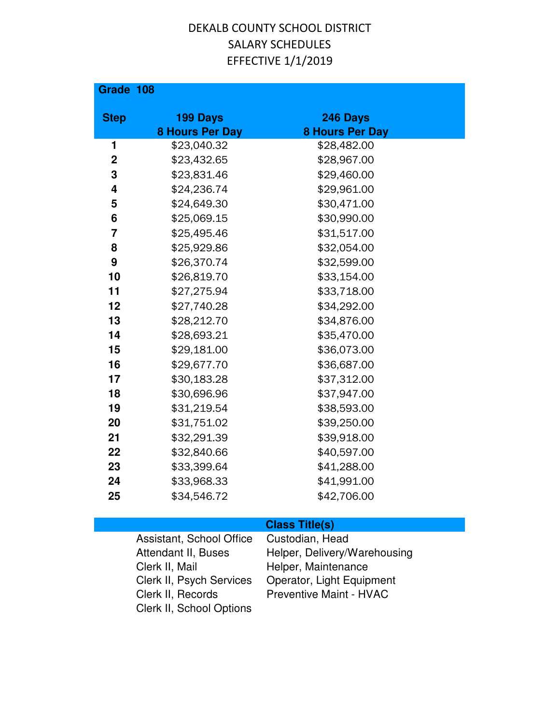| Grade 108        |                        |                        |  |
|------------------|------------------------|------------------------|--|
| <b>Step</b>      | 199 Days               | 246 Days               |  |
|                  | <b>8 Hours Per Day</b> | <b>8 Hours Per Day</b> |  |
| 1                | \$23,040.32            | \$28,482.00            |  |
| $\boldsymbol{2}$ | \$23,432.65            | \$28,967.00            |  |
| 3                | \$23,831.46            | \$29,460.00            |  |
| 4                | \$24,236.74            | \$29,961.00            |  |
| 5                | \$24,649.30            | \$30,471.00            |  |
| 6                | \$25,069.15            | \$30,990.00            |  |
| 7                | \$25,495.46            | \$31,517.00            |  |
| 8                | \$25,929.86            | \$32,054.00            |  |
| 9                | \$26,370.74            | \$32,599.00            |  |
| 10               | \$26,819.70            | \$33,154.00            |  |
| 11               | \$27,275.94            | \$33,718.00            |  |
| 12               | \$27,740.28            | \$34,292.00            |  |
| 13               | \$28,212.70            | \$34,876.00            |  |
| 14               | \$28,693.21            | \$35,470.00            |  |
| 15               | \$29,181.00            | \$36,073.00            |  |
| 16               | \$29,677.70            | \$36,687.00            |  |
| 17               | \$30,183.28            | \$37,312.00            |  |
| 18               | \$30,696.96            | \$37,947.00            |  |
| 19               | \$31,219.54            | \$38,593.00            |  |
| 20               | \$31,751.02            | \$39,250.00            |  |
| 21               | \$32,291.39            | \$39,918.00            |  |
| 22               | \$32,840.66            | \$40,597.00            |  |
| 23               | \$33,399.64            | \$41,288.00            |  |
| 24               | \$33,968.33            | \$41,991.00            |  |
| 25               | \$34,546.72            | \$42,706.00            |  |

| Assistant, School Office | Custodian, Head                |
|--------------------------|--------------------------------|
| Attendant II, Buses      | Helper, Delivery/Warehousing   |
| Clerk II, Mail           | Helper, Maintenance            |
| Clerk II, Psych Services | Operator, Light Equipment      |
| Clerk II, Records        | <b>Preventive Maint - HVAC</b> |
| Clerk II, School Options |                                |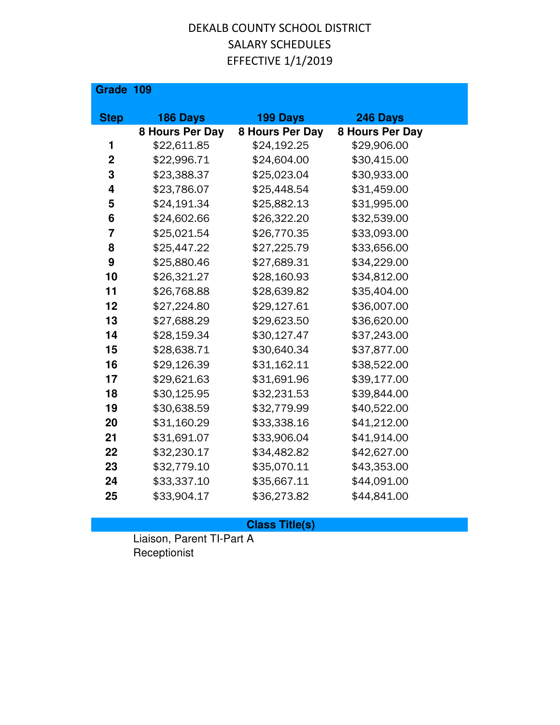| Grade 109   |                 |                 |                 |
|-------------|-----------------|-----------------|-----------------|
| <b>Step</b> | <b>186 Days</b> | 199 Days        | 246 Days        |
|             | 8 Hours Per Day | 8 Hours Per Day | 8 Hours Per Day |
| 1           | \$22,611.85     | \$24,192.25     | \$29,906.00     |
| $\mathbf 2$ | \$22,996.71     | \$24,604.00     | \$30,415.00     |
| 3           | \$23,388.37     | \$25,023.04     | \$30,933.00     |
| 4           | \$23,786.07     | \$25,448.54     | \$31,459.00     |
| 5           | \$24,191.34     | \$25,882.13     | \$31,995.00     |
| 6           | \$24,602.66     | \$26,322.20     | \$32,539.00     |
| 7           | \$25,021.54     | \$26,770.35     | \$33,093.00     |
| 8           | \$25,447.22     | \$27,225.79     | \$33,656.00     |
| 9           | \$25,880.46     | \$27,689.31     | \$34,229.00     |
| 10          | \$26,321.27     | \$28,160.93     | \$34,812.00     |
| 11          | \$26,768.88     | \$28,639.82     | \$35,404.00     |
| 12          | \$27,224.80     | \$29,127.61     | \$36,007.00     |
| 13          | \$27,688.29     | \$29,623.50     | \$36,620.00     |
| 14          | \$28,159.34     | \$30,127.47     | \$37,243.00     |
| 15          | \$28,638.71     | \$30,640.34     | \$37,877.00     |
| 16          | \$29,126.39     | \$31,162.11     | \$38,522.00     |
| 17          | \$29,621.63     | \$31,691.96     | \$39,177.00     |
| 18          | \$30,125.95     | \$32,231.53     | \$39,844.00     |
| 19          | \$30,638.59     | \$32,779.99     | \$40,522.00     |
| 20          | \$31,160.29     | \$33,338.16     | \$41,212.00     |
| 21          | \$31,691.07     | \$33,906.04     | \$41,914.00     |
| 22          | \$32,230.17     | \$34,482.82     | \$42,627.00     |
| 23          | \$32,779.10     | \$35,070.11     | \$43,353.00     |
| 24          | \$33,337.10     | \$35,667.11     | \$44,091.00     |
| 25          | \$33,904.17     | \$36,273.82     | \$44,841.00     |

### **Class Title(s)**

Liaison, Parent TI-Part A Receptionist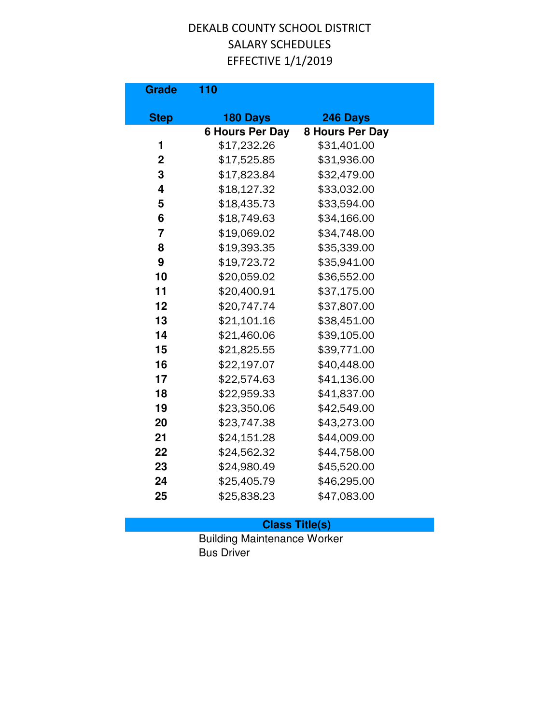| <b>Grade</b>   | 110                                |                             |
|----------------|------------------------------------|-----------------------------|
|                |                                    |                             |
| <b>Step</b>    | 180 Days<br><b>6 Hours Per Day</b> | 246 Days<br>8 Hours Per Day |
| 1              | \$17,232.26                        | \$31,401.00                 |
| $\overline{2}$ | \$17,525.85                        | \$31,936.00                 |
| 3              | \$17,823.84                        | \$32,479.00                 |
| 4              | \$18,127.32                        | \$33,032.00                 |
| 5              | \$18,435.73                        | \$33,594.00                 |
| 6              | \$18,749.63                        | \$34,166.00                 |
| $\overline{7}$ | \$19,069.02                        | \$34,748.00                 |
| 8              | \$19,393.35                        | \$35,339.00                 |
| 9              | \$19,723.72                        | \$35,941.00                 |
| 10             | \$20,059.02                        | \$36,552.00                 |
| 11             | \$20,400.91                        | \$37,175.00                 |
| 12             | \$20,747.74                        | \$37,807.00                 |
| 13             | \$21,101.16                        | \$38,451.00                 |
| 14             | \$21,460.06                        | \$39,105.00                 |
| 15             | \$21,825.55                        | \$39,771.00                 |
| 16             | \$22,197.07                        | \$40,448.00                 |
| 17             | \$22,574.63                        | \$41,136.00                 |
| 18             | \$22,959.33                        | \$41,837.00                 |
| 19             | \$23,350.06                        | \$42,549.00                 |
| 20             | \$23,747.38                        | \$43,273.00                 |
| 21             | \$24,151.28                        | \$44,009.00                 |
| 22             | \$24,562.32                        | \$44,758.00                 |
| 23             | \$24,980.49                        | \$45,520.00                 |
| 24             | \$25,405.79                        | \$46,295.00                 |
| 25             | \$25,838.23                        | \$47,083.00                 |

#### **Class Title(s)**

Building Maintenance Worker Bus Driver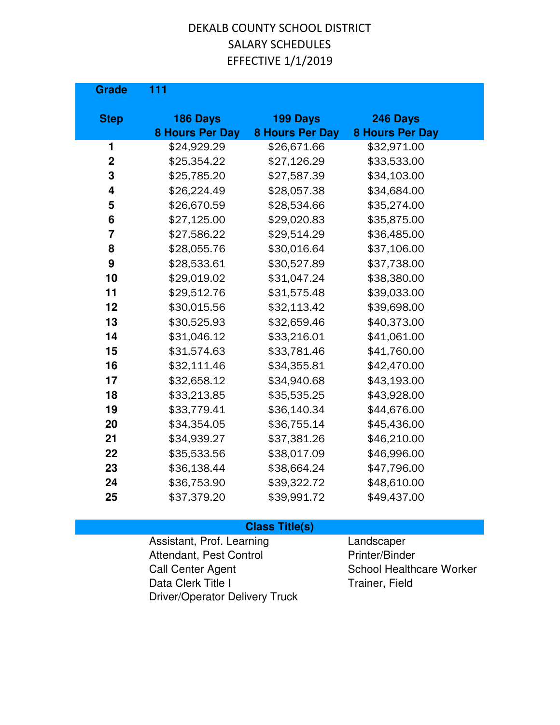| <b>Grade</b>     | 111                                   |                                       |                                       |  |
|------------------|---------------------------------------|---------------------------------------|---------------------------------------|--|
| <b>Step</b>      | 186 Days                              | 199 Days                              | 246 Days                              |  |
| 1                | <b>8 Hours Per Day</b><br>\$24,929.29 | <b>8 Hours Per Day</b><br>\$26,671.66 | <b>8 Hours Per Day</b><br>\$32,971.00 |  |
| $\boldsymbol{2}$ | \$25,354.22                           | \$27,126.29                           | \$33,533.00                           |  |
| 3                | \$25,785.20                           | \$27,587.39                           | \$34,103.00                           |  |
| 4                | \$26,224.49                           | \$28,057.38                           | \$34,684.00                           |  |
|                  |                                       |                                       |                                       |  |
| 5                | \$26,670.59                           | \$28,534.66                           | \$35,274.00                           |  |
| 6                | \$27,125.00                           | \$29,020.83                           | \$35,875.00                           |  |
| $\overline{7}$   | \$27,586.22                           | \$29,514.29                           | \$36,485.00                           |  |
| 8                | \$28,055.76                           | \$30,016.64                           | \$37,106.00                           |  |
| $\boldsymbol{9}$ | \$28,533.61                           | \$30,527.89                           | \$37,738.00                           |  |
| 10               | \$29,019.02                           | \$31,047.24                           | \$38,380.00                           |  |
| 11               | \$29,512.76                           | \$31,575.48                           | \$39,033.00                           |  |
| 12               | \$30,015.56                           | \$32,113.42                           | \$39,698.00                           |  |
| 13               | \$30,525.93                           | \$32,659.46                           | \$40,373.00                           |  |
| 14               | \$31,046.12                           | \$33,216.01                           | \$41,061.00                           |  |
| 15               | \$31,574.63                           | \$33,781.46                           | \$41,760.00                           |  |
| 16               | \$32,111.46                           | \$34,355.81                           | \$42,470.00                           |  |
| 17               | \$32,658.12                           | \$34,940.68                           | \$43,193.00                           |  |
| 18               | \$33,213.85                           | \$35,535.25                           | \$43,928.00                           |  |
| 19               | \$33,779.41                           | \$36,140.34                           | \$44,676.00                           |  |
| 20               | \$34,354.05                           | \$36,755.14                           | \$45,436.00                           |  |
| 21               | \$34,939.27                           | \$37,381.26                           | \$46,210.00                           |  |
| 22               | \$35,533.56                           | \$38,017.09                           | \$46,996.00                           |  |
| 23               | \$36,138.44                           | \$38,664.24                           | \$47,796.00                           |  |
| 24               | \$36,753.90                           | \$39,322.72                           | \$48,610.00                           |  |
| 25               | \$37,379.20                           | \$39,991.72                           | \$49,437.00                           |  |

#### **Class Title(s)**

Assistant, Prof. Learning **Landscaper** Attendant, Pest Control Printer/Binder Call Center Agent **Call Center Agent** School Healthcare Worker Data Clerk Title I Trainer, Field Driver/Operator Delivery Truck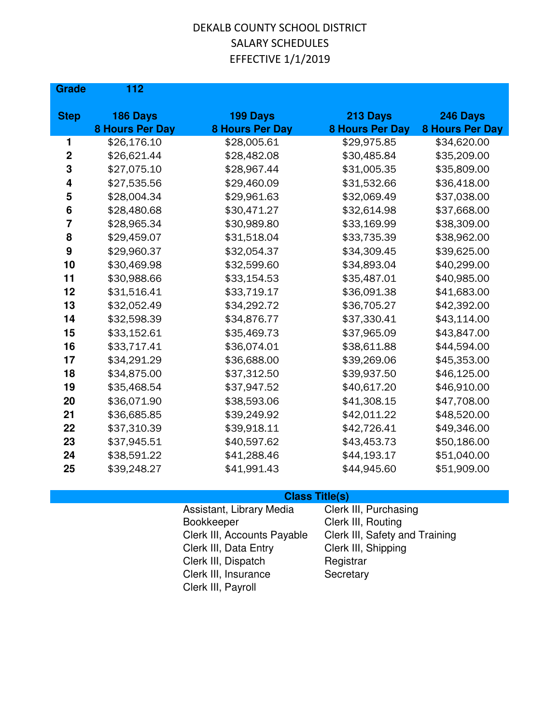| <b>Grade</b>   | 112                                |                                    |                                    |                                    |
|----------------|------------------------------------|------------------------------------|------------------------------------|------------------------------------|
| <b>Step</b>    | 186 Days<br><b>8 Hours Per Day</b> | 199 Days<br><b>8 Hours Per Day</b> | 213 Days<br><b>8 Hours Per Day</b> | 246 Days<br><b>8 Hours Per Day</b> |
| 1              | \$26,176.10                        | \$28,005.61                        | \$29,975.85                        | \$34,620.00                        |
| $\mathbf 2$    | \$26,621.44                        | \$28,482.08                        | \$30,485.84                        | \$35,209.00                        |
| 3              | \$27,075.10                        | \$28,967.44                        | \$31,005.35                        | \$35,809.00                        |
| 4              | \$27,535.56                        | \$29,460.09                        | \$31,532.66                        | \$36,418.00                        |
| 5              | \$28,004.34                        | \$29,961.63                        | \$32,069.49                        | \$37,038.00                        |
| 6              | \$28,480.68                        | \$30,471.27                        | \$32,614.98                        | \$37,668.00                        |
| $\overline{7}$ | \$28,965.34                        | \$30,989.80                        | \$33,169.99                        | \$38,309.00                        |
| 8              | \$29,459.07                        | \$31,518.04                        | \$33,735.39                        | \$38,962.00                        |
| 9              | \$29,960.37                        | \$32,054.37                        | \$34,309.45                        | \$39,625.00                        |
| 10             | \$30,469.98                        | \$32,599.60                        | \$34,893.04                        | \$40,299.00                        |
| 11             | \$30,988.66                        | \$33,154.53                        | \$35,487.01                        | \$40,985.00                        |
| 12             | \$31,516.41                        | \$33,719.17                        | \$36,091.38                        | \$41,683.00                        |
| 13             | \$32,052.49                        | \$34,292.72                        | \$36,705.27                        | \$42,392.00                        |
| 14             | \$32,598.39                        | \$34,876.77                        | \$37,330.41                        | \$43,114.00                        |
| 15             | \$33,152.61                        | \$35,469.73                        | \$37,965.09                        | \$43,847.00                        |
| 16             | \$33,717.41                        | \$36,074.01                        | \$38,611.88                        | \$44,594.00                        |
| 17             | \$34,291.29                        | \$36,688.00                        | \$39,269.06                        | \$45,353.00                        |
| 18             | \$34,875.00                        | \$37,312.50                        | \$39,937.50                        | \$46,125.00                        |
| 19             | \$35,468.54                        | \$37,947.52                        | \$40,617.20                        | \$46,910.00                        |
| 20             | \$36,071.90                        | \$38,593.06                        | \$41,308.15                        | \$47,708.00                        |
| 21             | \$36,685.85                        | \$39,249.92                        | \$42,011.22                        | \$48,520.00                        |
| 22             | \$37,310.39                        | \$39,918.11                        | \$42,726.41                        | \$49,346.00                        |
| 23             | \$37,945.51                        | \$40,597.62                        | \$43,453.73                        | \$50,186.00                        |
| 24             | \$38,591.22                        | \$41,288.46                        | \$44,193.17                        | \$51,040.00                        |
| 25             | \$39,248.27                        | \$41,991.43                        | \$44,945.60                        | \$51,909.00                        |

| Assistant, Library Media    | Clerk III, Purchasing          |
|-----------------------------|--------------------------------|
| Bookkeeper                  | Clerk III, Routing             |
| Clerk III, Accounts Payable | Clerk III, Safety and Training |
| Clerk III, Data Entry       | Clerk III, Shipping            |
| Clerk III, Dispatch         | Registrar                      |
| Clerk III, Insurance        | Secretary                      |
| Clerk III, Payroll          |                                |
|                             |                                |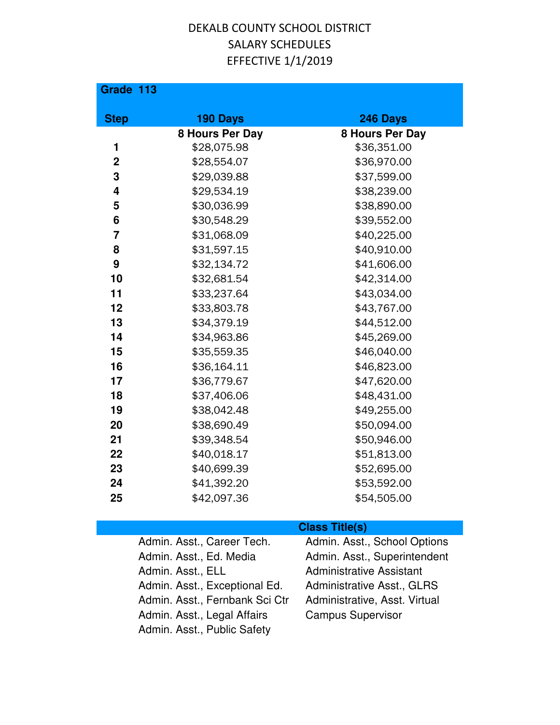| Grade 113               |                 |                 |
|-------------------------|-----------------|-----------------|
| <b>Step</b>             | 190 Days        | 246 Days        |
|                         | 8 Hours Per Day | 8 Hours Per Day |
| 1                       | \$28,075.98     | \$36,351.00     |
| $\mathbf 2$             | \$28,554.07     | \$36,970.00     |
| 3                       | \$29,039.88     | \$37,599.00     |
| 4                       | \$29,534.19     | \$38,239.00     |
| 5                       | \$30,036.99     | \$38,890.00     |
| 6                       | \$30,548.29     | \$39,552.00     |
| $\overline{\mathbf{z}}$ | \$31,068.09     | \$40,225.00     |
| 8                       | \$31,597.15     | \$40,910.00     |
| 9                       | \$32,134.72     | \$41,606.00     |
| 10                      | \$32,681.54     | \$42,314.00     |
| 11                      | \$33,237.64     | \$43,034.00     |
| 12                      | \$33,803.78     | \$43,767.00     |
| 13                      | \$34,379.19     | \$44,512.00     |
| 14                      | \$34,963.86     | \$45,269.00     |
| 15                      | \$35,559.35     | \$46,040.00     |
| 16                      | \$36,164.11     | \$46,823.00     |
| 17                      | \$36,779.67     | \$47,620.00     |
| 18                      | \$37,406.06     | \$48,431.00     |
| 19                      | \$38,042.48     | \$49,255.00     |
| 20                      | \$38,690.49     | \$50,094.00     |
| 21                      | \$39,348.54     | \$50,946.00     |
| 22                      | \$40,018.17     | \$51,813.00     |
| 23                      | \$40,699.39     | \$52,695.00     |
| 24                      | \$41,392.20     | \$53,592.00     |
| 25                      | \$42,097.36     | \$54,505.00     |

| Admin. Asst., Career Tech.     | Admin. Asst., School Options      |
|--------------------------------|-----------------------------------|
| Admin. Asst., Ed. Media        | Admin. Asst., Superintendent      |
| Admin. Asst., ELL              | <b>Administrative Assistant</b>   |
| Admin. Asst., Exceptional Ed.  | <b>Administrative Asst., GLRS</b> |
| Admin. Asst., Fernbank Sci Ctr | Administrative, Asst. Virtual     |
| Admin. Asst., Legal Affairs    | <b>Campus Supervisor</b>          |
| Admin. Asst., Public Safety    |                                   |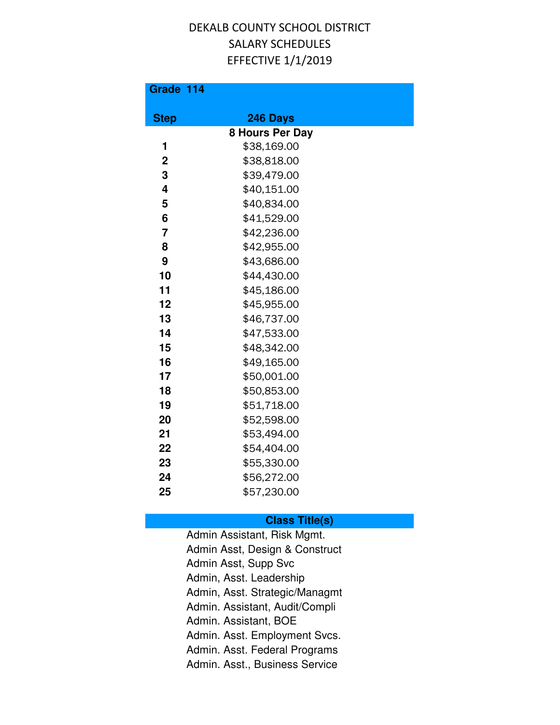| Grade 114      |                 |  |
|----------------|-----------------|--|
| <b>Step</b>    | 246 Days        |  |
|                | 8 Hours Per Day |  |
| 1              | \$38,169.00     |  |
| $\overline{2}$ | \$38,818.00     |  |
| 3              | \$39,479.00     |  |
| 4              | \$40,151.00     |  |
| 5              | \$40,834.00     |  |
| 6              | \$41,529.00     |  |
| $\overline{7}$ | \$42,236.00     |  |
| 8              | \$42,955.00     |  |
| 9              | \$43,686.00     |  |
| 10             | \$44,430.00     |  |
| 11             | \$45,186.00     |  |
| 12             | \$45,955.00     |  |
| 13             | \$46,737.00     |  |
| 14             | \$47,533.00     |  |
| 15             | \$48,342.00     |  |
| 16             | \$49,165.00     |  |
| 17             | \$50,001.00     |  |
| 18             | \$50,853.00     |  |
| 19             | \$51,718.00     |  |
| 20             | \$52,598.00     |  |
| 21             | \$53,494.00     |  |
| 22             | \$54,404.00     |  |
| 23             | \$55,330.00     |  |
| 24             | \$56,272.00     |  |
| 25             | \$57,230.00     |  |

#### **Class Title(s)**

Admin Assistant, Risk Mgmt. Admin Asst, Design & Construct Admin Asst, Supp Svc Admin, Asst. Leadership Admin, Asst. Strategic/Managmt Admin. Assistant, Audit/Compli Admin. Assistant, BOE Admin. Asst. Employment Svcs. Admin. Asst. Federal Programs Admin. Asst., Business Service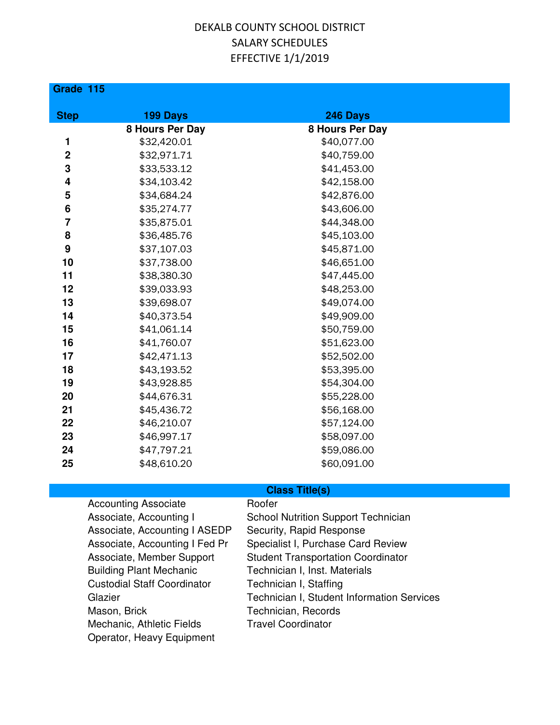#### **Grade 115**

| <b>Step</b>             | 199 Days        | 246 Days        |  |
|-------------------------|-----------------|-----------------|--|
|                         | 8 Hours Per Day | 8 Hours Per Day |  |
| 1                       | \$32,420.01     | \$40,077.00     |  |
| $\mathbf 2$             | \$32,971.71     | \$40,759.00     |  |
| $\mathbf 3$             | \$33,533.12     | \$41,453.00     |  |
| $\overline{\mathbf{4}}$ | \$34,103.42     | \$42,158.00     |  |
| ${\bf 5}$               | \$34,684.24     | \$42,876.00     |  |
| 6                       | \$35,274.77     | \$43,606.00     |  |
| $\overline{7}$          | \$35,875.01     | \$44,348.00     |  |
| 8                       | \$36,485.76     | \$45,103.00     |  |
| $\boldsymbol{9}$        | \$37,107.03     | \$45,871.00     |  |
| 10                      | \$37,738.00     | \$46,651.00     |  |
| 11                      | \$38,380.30     | \$47,445.00     |  |
| 12                      | \$39,033.93     | \$48,253.00     |  |
| 13                      | \$39,698.07     | \$49,074.00     |  |
| 14                      | \$40,373.54     | \$49,909.00     |  |
| 15                      | \$41,061.14     | \$50,759.00     |  |
| 16                      | \$41,760.07     | \$51,623.00     |  |
| 17                      | \$42,471.13     | \$52,502.00     |  |
| 18                      | \$43,193.52     | \$53,395.00     |  |
| 19                      | \$43,928.85     | \$54,304.00     |  |
| 20                      | \$44,676.31     | \$55,228.00     |  |
| 21                      | \$45,436.72     | \$56,168.00     |  |
| 22                      | \$46,210.07     | \$57,124.00     |  |
| 23                      | \$46,997.17     | \$58,097.00     |  |
| 24                      | \$47,797.21     | \$59,086.00     |  |
| 25                      | \$48,610.20     | \$60,091.00     |  |

| <b>Accounting Associate</b>        | Roofer                                     |
|------------------------------------|--------------------------------------------|
| Associate, Accounting I            | <b>School Nutrition Support Technician</b> |
| Associate, Accounting I ASEDP      | Security, Rapid Response                   |
| Associate, Accounting I Fed Pr     | Specialist I, Purchase Card Review         |
| Associate, Member Support          | <b>Student Transportation Coordinator</b>  |
| <b>Building Plant Mechanic</b>     | Technician I, Inst. Materials              |
| <b>Custodial Staff Coordinator</b> | Technician I, Staffing                     |
| Glazier                            | Technician I, Student Information Services |
| Mason, Brick                       | Technician, Records                        |
| Mechanic, Athletic Fields          | <b>Travel Coordinator</b>                  |
| Operator, Heavy Equipment          |                                            |
|                                    |                                            |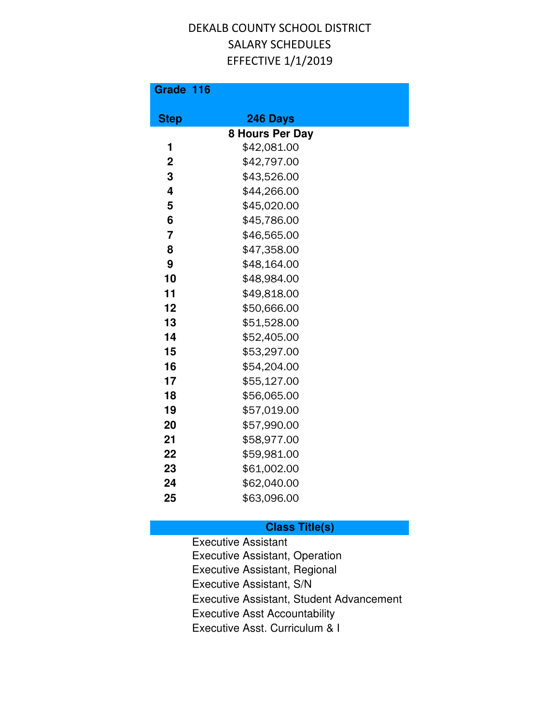| Grade 116      |                 |  |
|----------------|-----------------|--|
| <b>Step</b>    | 246 Days        |  |
|                | 8 Hours Per Day |  |
| 1              | \$42,081.00     |  |
| $\overline{2}$ | \$42,797.00     |  |
| 3              | \$43,526.00     |  |
| 4              | \$44,266.00     |  |
| 5              | \$45,020.00     |  |
| 6              | \$45,786.00     |  |
| $\overline{7}$ | \$46,565.00     |  |
| 8              | \$47,358.00     |  |
| 9              | \$48,164.00     |  |
| 10             | \$48,984.00     |  |
| 11             | \$49,818.00     |  |
| 12             | \$50,666.00     |  |
| 13             | \$51,528.00     |  |
| 14             | \$52,405.00     |  |
| 15             | \$53,297.00     |  |
| 16             | \$54,204.00     |  |
| 17             | \$55,127.00     |  |
| 18             | \$56,065.00     |  |
| 19             | \$57,019.00     |  |
| 20             | \$57,990.00     |  |
| 21             | \$58,977.00     |  |
| 22             | \$59,981.00     |  |
| 23             | \$61,002.00     |  |
| 24             | \$62,040.00     |  |
| 25             | \$63,096.00     |  |

### **Class Title(s)**

Executive Assistant Executive Assistant, Operation Executive Assistant, Regional Executive Assistant, S/N Executive Assistant, Student Advancement Executive Asst Accountability Executive Asst. Curriculum & I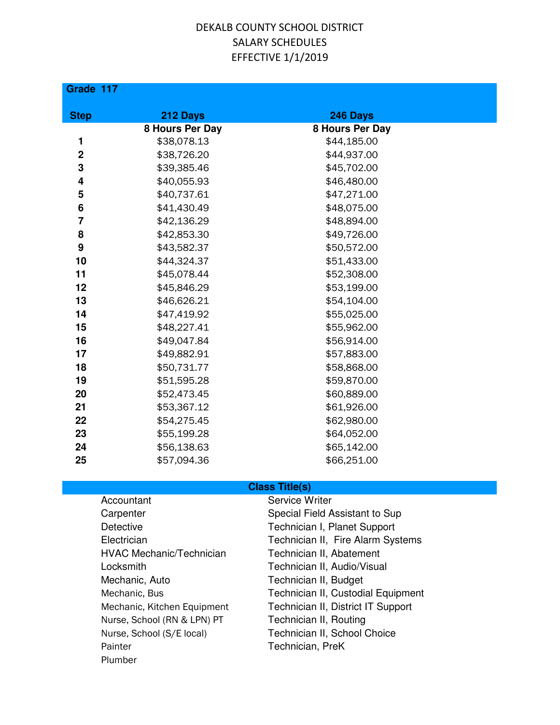#### **Grade 117**

| <b>Step</b> | 212 Days        | 246 Days        |
|-------------|-----------------|-----------------|
|             | 8 Hours Per Day | 8 Hours Per Day |
| 1           | \$38,078.13     | \$44,185.00     |
| $\mathbf 2$ | \$38,726.20     | \$44,937.00     |
| 3           | \$39,385.46     | \$45,702.00     |
| 4           | \$40,055.93     | \$46,480.00     |
| 5           | \$40,737.61     | \$47,271.00     |
| 6           | \$41,430.49     | \$48,075.00     |
| 7           | \$42,136.29     | \$48,894.00     |
| 8           | \$42,853.30     | \$49,726.00     |
| 9           | \$43,582.37     | \$50,572.00     |
| 10          | \$44,324.37     | \$51,433.00     |
| 11          | \$45,078.44     | \$52,308.00     |
| 12          | \$45,846.29     | \$53,199.00     |
| 13          | \$46,626.21     | \$54,104.00     |
| 14          | \$47,419.92     | \$55,025.00     |
| 15          | \$48,227.41     | \$55,962.00     |
| 16          | \$49,047.84     | \$56,914.00     |
| 17          | \$49,882.91     | \$57,883.00     |
| 18          | \$50,731.77     | \$58,868.00     |
| 19          | \$51,595.28     | \$59,870.00     |
| 20          | \$52,473.45     | \$60,889.00     |
| 21          | \$53,367.12     | \$61,926.00     |
| 22          | \$54,275.45     | \$62,980.00     |
| 23          | \$55,199.28     | \$64,052.00     |
| 24          | \$56,138.63     | \$65,142.00     |
| 25          | \$57,094.36     | \$66,251.00     |

| Accountant                      | Service Writer                     |
|---------------------------------|------------------------------------|
| Carpenter                       | Special Field Assistant to Sup     |
| <b>Detective</b>                | Technician I, Planet Support       |
| Electrician                     | Technician II, Fire Alarm Systems  |
| <b>HVAC Mechanic/Technician</b> | Technician II, Abatement           |
| Locksmith                       | Technician II, Audio/Visual        |
| Mechanic, Auto                  | Technician II, Budget              |
| Mechanic, Bus                   | Technician II, Custodial Equipment |
| Mechanic, Kitchen Equipment     | Technician II, District IT Support |
| Nurse, School (RN & LPN) PT     | Technician II, Routing             |
| Nurse, School (S/E local)       | Technician II, School Choice       |
| Painter                         | Technician, PreK                   |
| Plumber                         |                                    |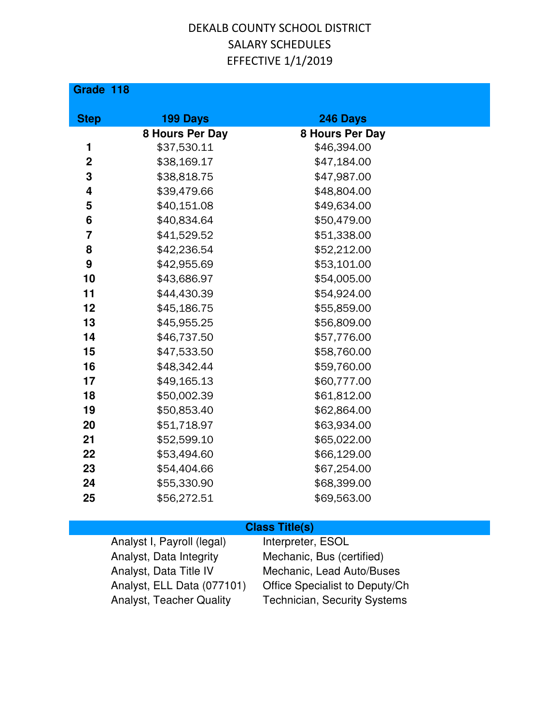**Grade 118**

| <b>Step</b>    | <b>199 Days</b> | 246 Days        |
|----------------|-----------------|-----------------|
|                | 8 Hours Per Day | 8 Hours Per Day |
| 1              | \$37,530.11     | \$46,394.00     |
| $\mathbf 2$    | \$38,169.17     | \$47,184.00     |
| 3              | \$38,818.75     | \$47,987.00     |
| 4              | \$39,479.66     | \$48,804.00     |
| 5              | \$40,151.08     | \$49,634.00     |
| 6              | \$40,834.64     | \$50,479.00     |
| $\overline{7}$ | \$41,529.52     | \$51,338.00     |
| 8              | \$42,236.54     | \$52,212.00     |
| 9              | \$42,955.69     | \$53,101.00     |
| 10             | \$43,686.97     | \$54,005.00     |
| 11             | \$44,430.39     | \$54,924.00     |
| 12             | \$45,186.75     | \$55,859.00     |
| 13             | \$45,955.25     | \$56,809.00     |
| 14             | \$46,737.50     | \$57,776.00     |
| 15             | \$47,533.50     | \$58,760.00     |
| 16             | \$48,342.44     | \$59,760.00     |
| 17             | \$49,165.13     | \$60,777.00     |
| 18             | \$50,002.39     | \$61,812.00     |
| 19             | \$50,853.40     | \$62,864.00     |
| 20             | \$51,718.97     | \$63,934.00     |
| 21             | \$52,599.10     | \$65,022.00     |
| 22             | \$53,494.60     | \$66,129.00     |
| 23             | \$54,404.66     | \$67,254.00     |
| 24             | \$55,330.90     | \$68,399.00     |
| 25             | \$56,272.51     | \$69,563.00     |

#### **Class Title(s)**

Analyst I, Payroll (legal) Interpreter, ESOL Analyst, Data Integrity Mechanic, Bus (certified) Analyst, Data Title IV Mechanic, Lead Auto/Buses Analyst, ELL Data (077101) Office Specialist to Deputy/Ch Analyst, Teacher Quality Technician, Security Systems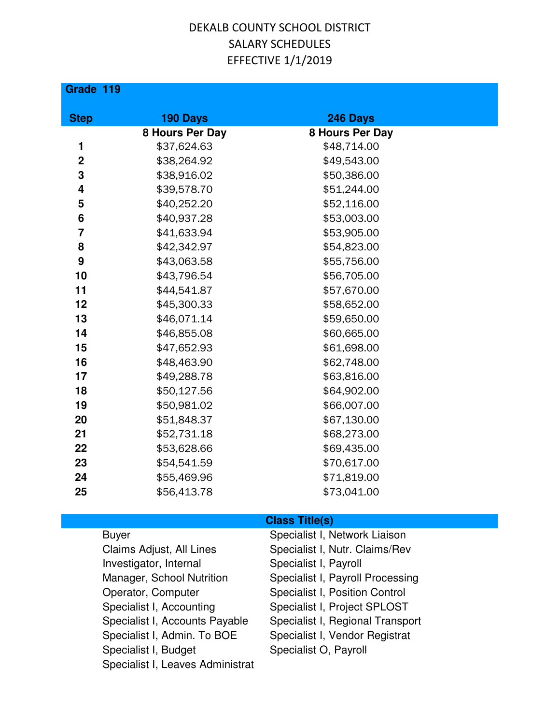**Grade 119**

| <b>Step</b>    | 190 Days        | 246 Days        |
|----------------|-----------------|-----------------|
|                | 8 Hours Per Day | 8 Hours Per Day |
| 1              | \$37,624.63     | \$48,714.00     |
| $\overline{2}$ | \$38,264.92     | \$49,543.00     |
| 3              | \$38,916.02     | \$50,386.00     |
| 4              | \$39,578.70     | \$51,244.00     |
| 5              | \$40,252.20     | \$52,116.00     |
| 6              | \$40,937.28     | \$53,003.00     |
| $\overline{7}$ | \$41,633.94     | \$53,905.00     |
| 8              | \$42,342.97     | \$54,823.00     |
| 9              | \$43,063.58     | \$55,756.00     |
| 10             | \$43,796.54     | \$56,705.00     |
| 11             | \$44,541.87     | \$57,670.00     |
| 12             | \$45,300.33     | \$58,652.00     |
| 13             | \$46,071.14     | \$59,650.00     |
| 14             | \$46,855.08     | \$60,665.00     |
| 15             | \$47,652.93     | \$61,698.00     |
| 16             | \$48,463.90     | \$62,748.00     |
| 17             | \$49,288.78     | \$63,816.00     |
| 18             | \$50,127.56     | \$64,902.00     |
| 19             | \$50,981.02     | \$66,007.00     |
| 20             | \$51,848.37     | \$67,130.00     |
| 21             | \$52,731.18     | \$68,273.00     |
| 22             | \$53,628.66     | \$69,435.00     |
| 23             | \$54,541.59     | \$70,617.00     |
| 24             | \$55,469.96     | \$71,819.00     |
| 25             | \$56,413.78     | \$73,041.00     |

Investigator, Internal Specialist I, Payroll Operator, Computer Specialist I, Position Control Specialist I, Accounting Specialist I, Project SPLOST Specialist I, Admin. To BOE Specialist I, Vendor Registrat Specialist I, Budget Specialist O, Payroll Specialist I, Leaves Administrat

#### **Class Title(s)**

Buyer Specialist I, Network Liaison Claims Adjust, All Lines Specialist I, Nutr. Claims/Rev Manager, School Nutrition Specialist I, Payroll Processing Specialist I, Accounts Payable Specialist I, Regional Transport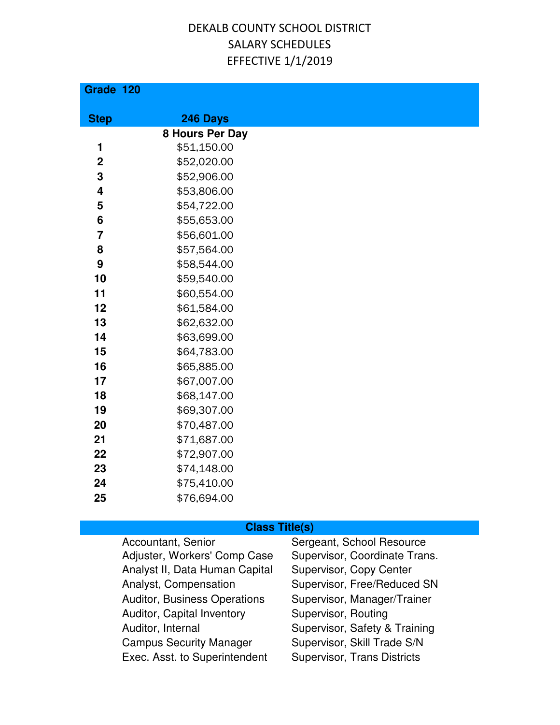| Grade 120               |                                |  |
|-------------------------|--------------------------------|--|
|                         |                                |  |
| <b>Step</b>             | 246 Days                       |  |
| 1                       | 8 Hours Per Day<br>\$51,150.00 |  |
| $\mathbf 2$             | \$52,020.00                    |  |
| 3                       | \$52,906.00                    |  |
| $\overline{\mathbf{4}}$ | \$53,806.00                    |  |
| 5                       | \$54,722.00                    |  |
| 6                       | \$55,653.00                    |  |
| $\overline{7}$          | \$56,601.00                    |  |
| 8                       | \$57,564.00                    |  |
| 9                       | \$58,544.00                    |  |
| 10                      | \$59,540.00                    |  |
| 11                      | \$60,554.00                    |  |
| 12                      | \$61,584.00                    |  |
| 13                      | \$62,632.00                    |  |
| 14                      | \$63,699.00                    |  |
| 15                      | \$64,783.00                    |  |
| 16                      | \$65,885.00                    |  |
| 17                      | \$67,007.00                    |  |
| 18                      | \$68,147.00                    |  |
| 19                      | \$69,307.00                    |  |
| 20                      | \$70,487.00                    |  |
| 21                      | \$71,687.00                    |  |
| 22                      | \$72,907.00                    |  |
| 23                      | \$74,148.00                    |  |
| 24                      | \$75,410.00                    |  |
| 25                      | \$76,694.00                    |  |

| Accountant, Senior                  | Sergeant, School Resource          |
|-------------------------------------|------------------------------------|
| Adjuster, Workers' Comp Case        | Supervisor, Coordinate Trans.      |
| Analyst II, Data Human Capital      | Supervisor, Copy Center            |
| Analyst, Compensation               | Supervisor, Free/Reduced SN        |
| <b>Auditor, Business Operations</b> | Supervisor, Manager/Trainer        |
| Auditor, Capital Inventory          | Supervisor, Routing                |
| Auditor, Internal                   | Supervisor, Safety & Training      |
| <b>Campus Security Manager</b>      | Supervisor, Skill Trade S/N        |
| Exec. Asst. to Superintendent       | <b>Supervisor, Trans Districts</b> |
|                                     |                                    |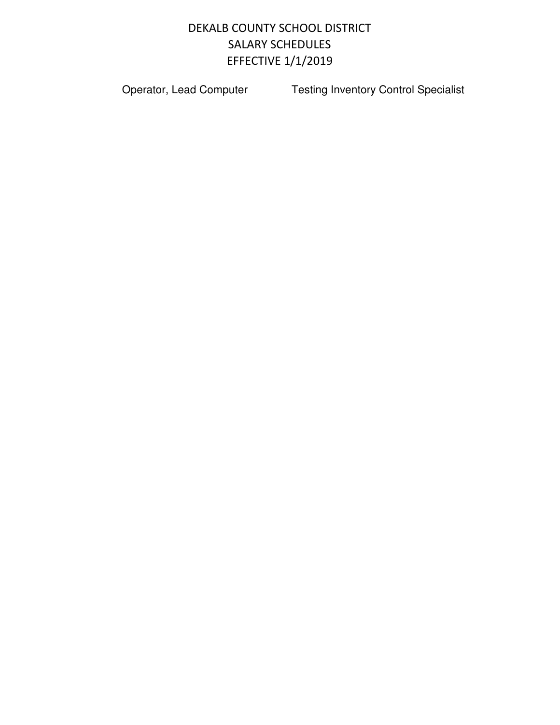Operator, Lead Computer **Testing Inventory Control Specialist**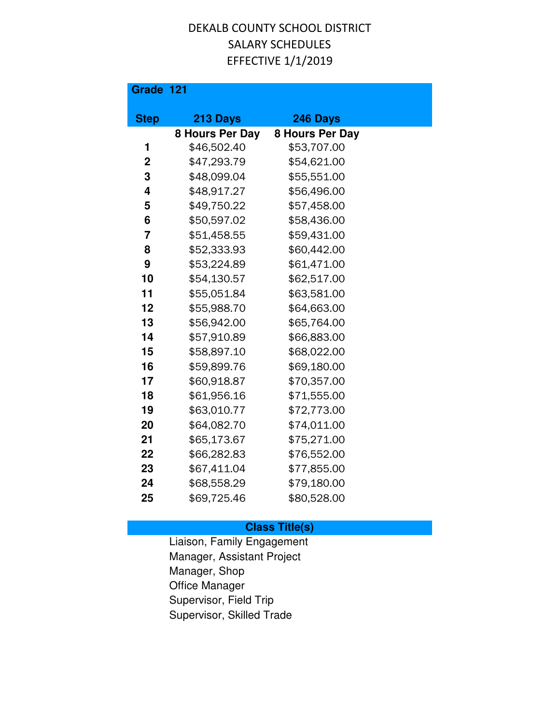| Grade 121      |                 |                 |
|----------------|-----------------|-----------------|
| <b>Step</b>    | 213 Days        | 246 Days        |
|                | 8 Hours Per Day | 8 Hours Per Day |
| 1              | \$46,502.40     | \$53,707.00     |
| $\overline{2}$ | \$47,293.79     | \$54,621.00     |
| 3              | \$48,099.04     | \$55,551.00     |
| 4              | \$48,917.27     | \$56,496.00     |
| 5              | \$49,750.22     | \$57,458.00     |
| 6              | \$50,597.02     | \$58,436.00     |
| 7              | \$51,458.55     | \$59,431.00     |
| 8              | \$52,333.93     | \$60,442.00     |
| 9              | \$53,224.89     | \$61,471.00     |
| 10             | \$54,130.57     | \$62,517.00     |
| 11             | \$55,051.84     | \$63,581.00     |
| 12             | \$55,988.70     | \$64,663.00     |
| 13             | \$56,942.00     | \$65,764.00     |
| 14             | \$57,910.89     | \$66,883.00     |
| 15             | \$58,897.10     | \$68,022.00     |
| 16             | \$59,899.76     | \$69,180.00     |
| 17             | \$60,918.87     | \$70,357.00     |
| 18             | \$61,956.16     | \$71,555.00     |
| 19             | \$63,010.77     | \$72,773.00     |
| 20             | \$64,082.70     | \$74,011.00     |
| 21             | \$65,173.67     | \$75,271.00     |
| 22             | \$66,282.83     | \$76,552.00     |
| 23             | \$67,411.04     | \$77,855.00     |
| 24             | \$68,558.29     | \$79,180.00     |
| 25             | \$69,725.46     | \$80,528.00     |

#### **Class Title(s)**

Liaison, Family Engagement Manager, Assistant Project Manager, Shop Office Manager Supervisor, Field Trip Supervisor, Skilled Trade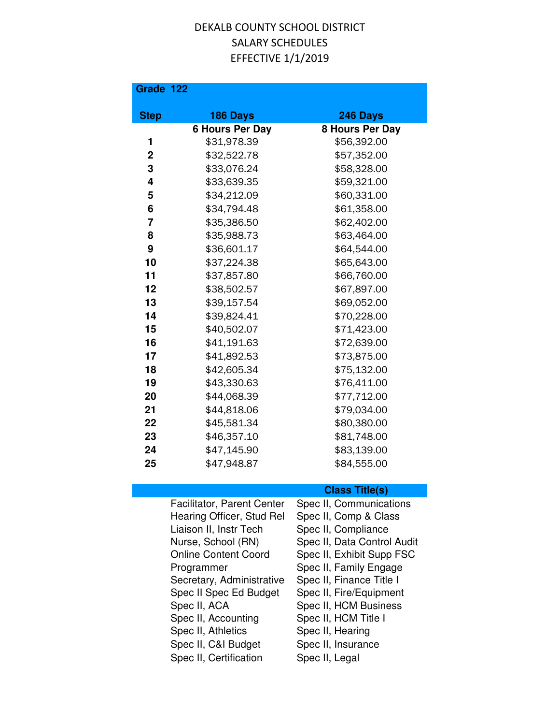| Grade 122      |                            |                         |
|----------------|----------------------------|-------------------------|
| <b>Step</b>    | 186 Days                   | 246 Days                |
|                | <b>6 Hours Per Day</b>     | <b>8 Hours Per Day</b>  |
| 1              | \$31,978.39                | \$56,392.00             |
| $\mathbf 2$    | \$32,522.78                | \$57,352.00             |
| 3              | \$33,076.24                | \$58,328.00             |
| 4              | \$33,639.35                | \$59,321.00             |
| 5              | \$34,212.09                | \$60,331.00             |
| 6              | \$34,794.48                | \$61,358.00             |
| $\overline{7}$ | \$35,386.50                | \$62,402.00             |
| 8              | \$35,988.73                | \$63,464.00             |
| 9              | \$36,601.17                | \$64,544.00             |
| 10             | \$37,224.38                | \$65,643.00             |
| 11             | \$37,857.80                | \$66,760.00             |
| 12             | \$38,502.57                | \$67,897.00             |
| 13             | \$39,157.54                | \$69,052.00             |
| 14             | \$39,824.41                | \$70,228.00             |
| 15             | \$40,502.07                | \$71,423.00             |
| 16             | \$41,191.63                | \$72,639.00             |
| 17             | \$41,892.53                | \$73,875.00             |
| 18             | \$42,605.34                | \$75,132.00             |
| 19             | \$43,330.63                | \$76,411.00             |
| 20             | \$44,068.39                | \$77,712.00             |
| 21             | \$44,818.06                | \$79,034.00             |
| 22             | \$45,581.34                | \$80,380.00             |
| 23             | \$46,357.10                | \$81,748.00             |
| 24             | \$47,145.90                | \$83,139.00             |
| 25             | \$47,948.87                | \$84,555.00             |
|                |                            |                         |
|                |                            | <b>Class Title(s)</b>   |
|                | Facilitator, Parent Center | Spec II, Communications |
|                | Hearing Officer, Stud Rel  | Spec II, Comp & Class   |
|                | Liaison II, Instr Tech     | Spec II, Compliance     |

Nurse, School (RN) Spec II, Data Control Audit Online Content Coord Spec II, Exhibit Supp FSC Programmer Spec II, Family Engage Secretary, Administrative Spec II, Finance Title I Spec II Spec Ed Budget Spec II, Fire/Equipment<br>Spec II, ACA Spec II, HCM Business Spec II, HCM Business Spec II, Accounting Spec II, HCM Title I<br>Spec II, Athletics Spec II, Hearing Spec II, Athletics Spec II, C&I Budget Spec II, Insurance<br>Spec II, Certification Spec II, Legal

Spec II, Certification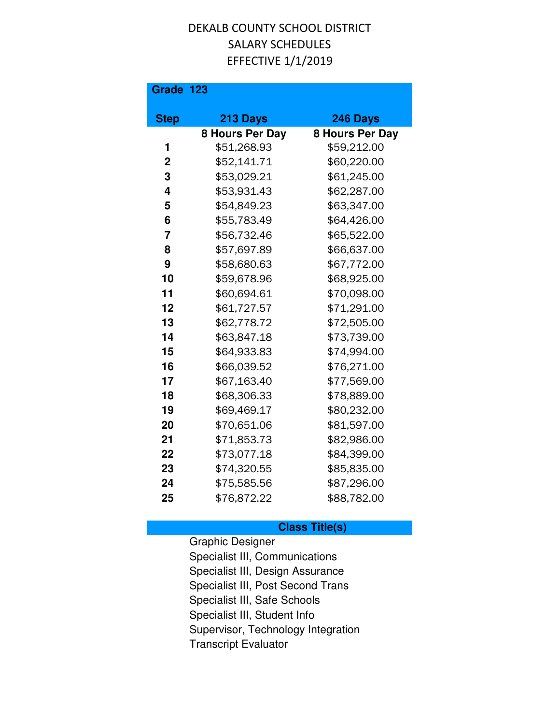#### **Grade 123**

| <b>Step</b>    | 213 Days        | 246 Days        |
|----------------|-----------------|-----------------|
|                | 8 Hours Per Day | 8 Hours Per Day |
| 1              | \$51,268.93     | \$59,212.00     |
| $\mathbf 2$    | \$52,141.71     | \$60,220.00     |
| 3              | \$53,029.21     | \$61,245.00     |
| 4              | \$53,931.43     | \$62,287.00     |
| 5              | \$54,849.23     | \$63,347.00     |
| 6              | \$55,783.49     | \$64,426.00     |
| $\overline{7}$ | \$56,732.46     | \$65,522.00     |
| 8              | \$57,697.89     | \$66,637.00     |
| 9              | \$58,680.63     | \$67,772.00     |
| 10             | \$59,678.96     | \$68,925.00     |
| 11             | \$60,694.61     | \$70,098.00     |
| 12             | \$61,727.57     | \$71,291.00     |
| 13             | \$62,778.72     | \$72,505.00     |
| 14             | \$63,847.18     | \$73,739.00     |
| 15             | \$64,933.83     | \$74,994.00     |
| 16             | \$66,039.52     | \$76,271.00     |
| 17             | \$67,163.40     | \$77,569.00     |
| 18             | \$68,306.33     | \$78,889.00     |
| 19             | \$69,469.17     | \$80,232.00     |
| 20             | \$70,651.06     | \$81,597.00     |
| 21             | \$71,853.73     | \$82,986.00     |
| 22             | \$73,077.18     | \$84,399.00     |
| 23             | \$74,320.55     | \$85,835.00     |
| 24             | \$75,585.56     | \$87,296.00     |
| 25             | \$76,872.22     | \$88,782.00     |

#### **Class Title(s)**

Graphic Designer Specialist III, Communications Specialist III, Design Assurance Specialist III, Post Second Trans Specialist III, Safe Schools Specialist III, Student Info Supervisor, Technology Integration Transcript Evaluator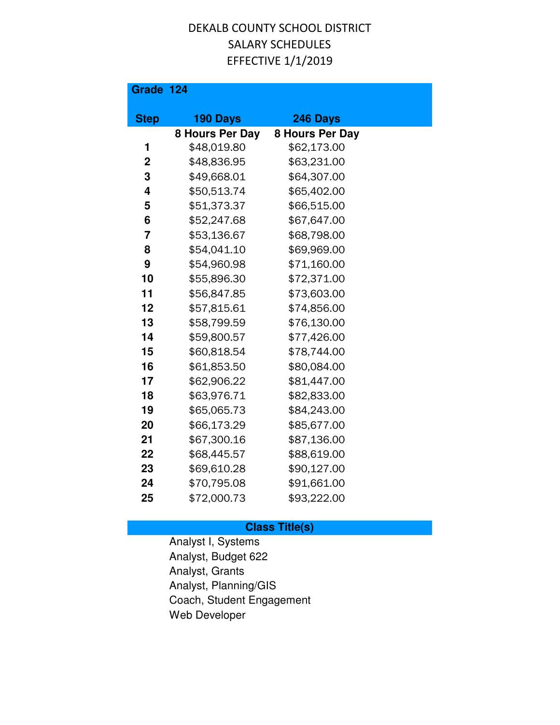| Grade 124      |                 |                 |  |
|----------------|-----------------|-----------------|--|
| <b>Step</b>    | 190 Days        | 246 Days        |  |
|                | 8 Hours Per Day | 8 Hours Per Day |  |
| 1              | \$48,019.80     | \$62,173.00     |  |
| $\mathbf 2$    | \$48,836.95     | \$63,231.00     |  |
| 3              | \$49,668.01     | \$64,307.00     |  |
| 4              | \$50,513.74     | \$65,402.00     |  |
| 5              | \$51,373.37     | \$66,515.00     |  |
| 6              | \$52,247.68     | \$67,647.00     |  |
| $\overline{7}$ | \$53,136.67     | \$68,798.00     |  |
| 8              | \$54,041.10     | \$69,969.00     |  |
| 9              | \$54,960.98     | \$71,160.00     |  |
| 10             | \$55,896.30     | \$72,371.00     |  |
| 11             | \$56,847.85     | \$73,603.00     |  |
| 12             | \$57,815.61     | \$74,856.00     |  |
| 13             | \$58,799.59     | \$76,130.00     |  |
| 14             | \$59,800.57     | \$77,426.00     |  |
| 15             | \$60,818.54     | \$78,744.00     |  |
| 16             | \$61,853.50     | \$80,084.00     |  |
| 17             | \$62,906.22     | \$81,447.00     |  |
| 18             | \$63,976.71     | \$82,833.00     |  |
| 19             | \$65,065.73     | \$84,243.00     |  |
| 20             | \$66,173.29     | \$85,677.00     |  |
| 21             | \$67,300.16     | \$87,136.00     |  |
| 22             | \$68,445.57     | \$88,619.00     |  |
| 23             | \$69,610.28     | \$90,127.00     |  |
| 24             | \$70,795.08     | \$91,661.00     |  |
| 25             | \$72,000.73     | \$93,222.00     |  |

### **Class Title(s)**

Analyst I, Systems Analyst, Budget 622 Analyst, Grants Analyst, Planning/GIS Coach, Student Engagement Web Developer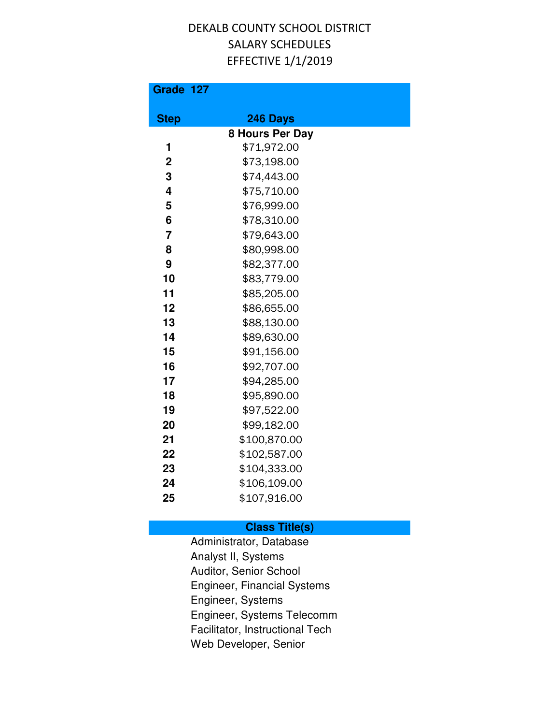| Grade 127      |                 |
|----------------|-----------------|
| <b>Step</b>    | 246 Days        |
|                | 8 Hours Per Day |
| 1              | \$71,972.00     |
| $\overline{2}$ | \$73,198.00     |
| 3              | \$74,443.00     |
| 4              | \$75,710.00     |
| 5              | \$76,999.00     |
| 6              | \$78,310.00     |
| $\overline{7}$ | \$79,643.00     |
| 8              | \$80,998.00     |
| 9              | \$82,377.00     |
| 10             | \$83,779.00     |
| 11             | \$85,205.00     |
| 12             | \$86,655.00     |
| 13             | \$88,130.00     |
| 14             | \$89,630.00     |
| 15             | \$91,156.00     |
| 16             | \$92,707.00     |
| 17             | \$94,285.00     |
| 18             | \$95,890.00     |
| 19             | \$97,522.00     |
| 20             | \$99,182.00     |
| 21             | \$100,870.00    |
| 22             | \$102,587.00    |
| 23             | \$104,333.00    |
| 24             | \$106,109.00    |
| 25             | \$107,916.00    |

#### **Class Title(s)**

Administrator, Database Analyst II, Systems Auditor, Senior School Engineer, Financial Systems Engineer, Systems Engineer, Systems Telecomm Facilitator, Instructional Tech Web Developer, Senior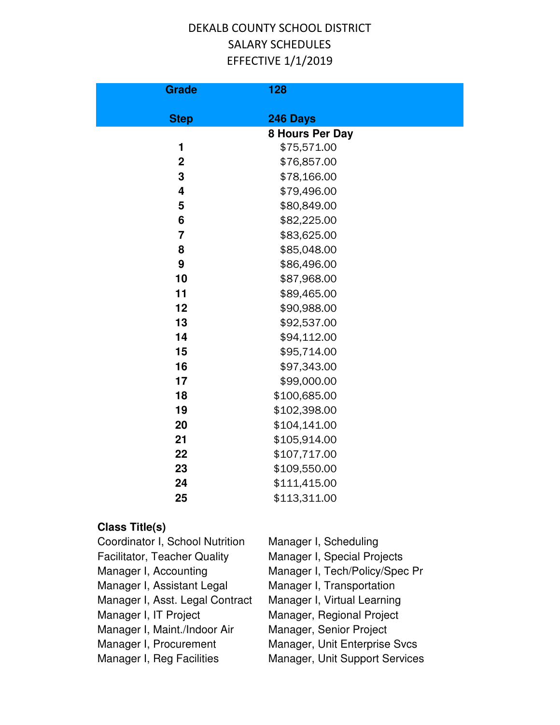| <b>Grade</b>            | 128             |  |
|-------------------------|-----------------|--|
| <b>Step</b>             | 246 Days        |  |
|                         | 8 Hours Per Day |  |
| 1                       | \$75,571.00     |  |
| $\overline{2}$          | \$76,857.00     |  |
| 3                       | \$78,166.00     |  |
| $\overline{\mathbf{4}}$ | \$79,496.00     |  |
| 5                       | \$80,849.00     |  |
| 6                       | \$82,225.00     |  |
| $\overline{7}$          | \$83,625.00     |  |
| 8                       | \$85,048.00     |  |
| 9                       | \$86,496.00     |  |
| 10                      | \$87,968.00     |  |
| 11                      | \$89,465.00     |  |
| 12                      | \$90,988.00     |  |
| 13                      | \$92,537.00     |  |
| 14                      | \$94,112.00     |  |
| 15                      | \$95,714.00     |  |
| 16                      | \$97,343.00     |  |
| 17                      | \$99,000.00     |  |
| 18                      | \$100,685.00    |  |
| 19                      | \$102,398.00    |  |
| 20                      | \$104,141.00    |  |
| 21                      | \$105,914.00    |  |
| 22                      | \$107,717.00    |  |
| 23                      | \$109,550.00    |  |
| 24                      | \$111,415.00    |  |
| 25                      | \$113,311.00    |  |
| <b>Class Title(s)</b>   |                 |  |

| Coordinator I, School Nutrition     | Manager I, Scheduling          |
|-------------------------------------|--------------------------------|
| <b>Facilitator, Teacher Quality</b> | Manager I, Special Projects    |
| Manager I, Accounting               | Manager I, Tech/Policy/Spec Pr |
| Manager I, Assistant Legal          | Manager I, Transportation      |
| Manager I, Asst. Legal Contract     | Manager I, Virtual Learning    |
| Manager I, IT Project               | Manager, Regional Project      |
| Manager I, Maint./Indoor Air        | Manager, Senior Project        |
| Manager I, Procurement              | Manager, Unit Enterprise Svcs  |
| Manager I, Reg Facilities           | Manager, Unit Support Services |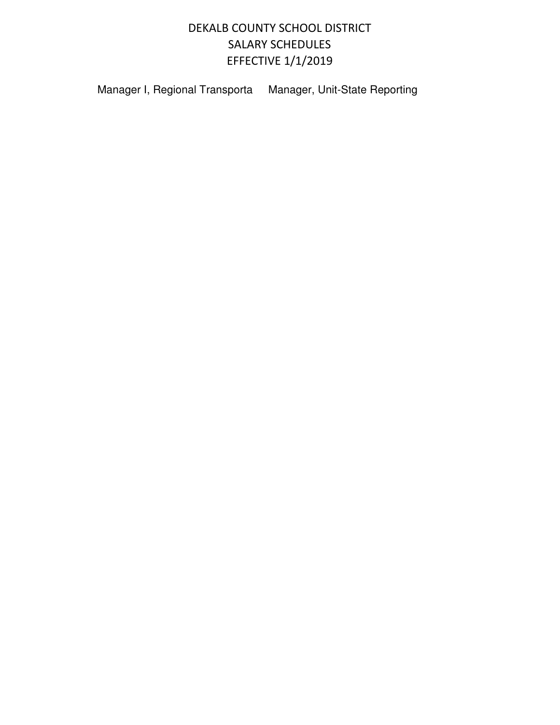Manager I, Regional Transporta Manager, Unit-State Reporting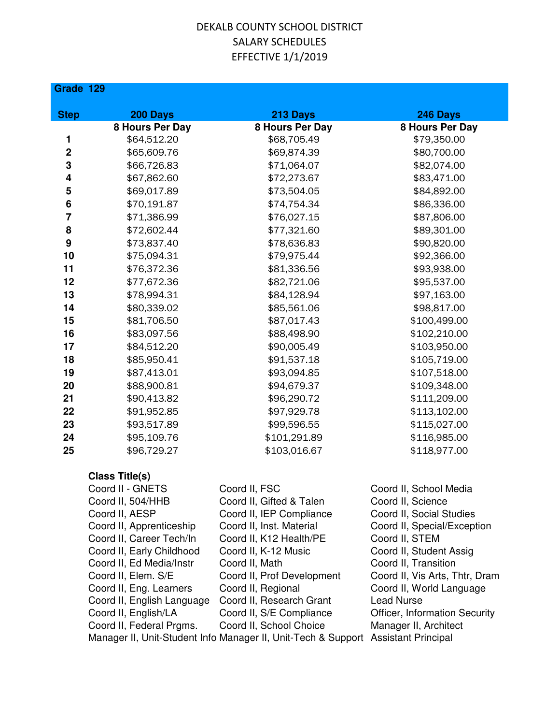| Grade 129               |                            |                                                                                   |                                |
|-------------------------|----------------------------|-----------------------------------------------------------------------------------|--------------------------------|
| <b>Step</b>             | 200 Days                   | 213 Days                                                                          | 246 Days                       |
|                         | 8 Hours Per Day            | 8 Hours Per Day                                                                   | 8 Hours Per Day                |
| 1                       | \$64,512.20                | \$68,705.49                                                                       | \$79,350.00                    |
| $\mathbf 2$             | \$65,609.76                | \$69,874.39                                                                       | \$80,700.00                    |
| 3                       | \$66,726.83                | \$71,064.07                                                                       | \$82,074.00                    |
| 4                       | \$67,862.60                | \$72,273.67                                                                       | \$83,471.00                    |
| 5                       | \$69,017.89                | \$73,504.05                                                                       | \$84,892.00                    |
| 6                       | \$70,191.87                | \$74,754.34                                                                       | \$86,336.00                    |
| $\overline{\mathbf{7}}$ | \$71,386.99                | \$76,027.15                                                                       | \$87,806.00                    |
| 8                       | \$72,602.44                | \$77,321.60                                                                       | \$89,301.00                    |
| 9                       | \$73,837.40                | \$78,636.83                                                                       | \$90,820.00                    |
| 10                      | \$75,094.31                | \$79,975.44                                                                       | \$92,366.00                    |
| 11                      | \$76,372.36                | \$81,336.56                                                                       | \$93,938.00                    |
| 12                      | \$77,672.36                | \$82,721.06                                                                       | \$95,537.00                    |
| 13                      | \$78,994.31                | \$84,128.94                                                                       | \$97,163.00                    |
| 14                      | \$80,339.02                | \$85,561.06                                                                       | \$98,817.00                    |
| 15                      | \$81,706.50                | \$87,017.43                                                                       | \$100,499.00                   |
| 16                      | \$83,097.56                | \$88,498.90                                                                       | \$102,210.00                   |
| 17                      | \$84,512.20                | \$90,005.49                                                                       | \$103,950.00                   |
| 18                      | \$85,950.41                | \$91,537.18                                                                       | \$105,719.00                   |
| 19                      | \$87,413.01                | \$93,094.85                                                                       | \$107,518.00                   |
| 20                      | \$88,900.81                | \$94,679.37                                                                       | \$109,348.00                   |
| 21                      | \$90,413.82                | \$96,290.72                                                                       | \$111,209.00                   |
| 22                      | \$91,952.85                | \$97,929.78                                                                       | \$113,102.00                   |
| 23                      | \$93,517.89                | \$99,596.55                                                                       | \$115,027.00                   |
| 24                      | \$95,109.76                | \$101,291.89                                                                      | \$116,985.00                   |
| 25                      | \$96,729.27                | \$103,016.67                                                                      | \$118,977.00                   |
|                         | <b>Class Title(s)</b>      |                                                                                   |                                |
|                         | Coord II - GNETS           | Coord II, FSC                                                                     | Coord II, School Media         |
|                         | Coord II, 504/HHB          | Coord II, Gifted & Talen                                                          | Coord II, Science              |
|                         | Coord II, AESP             | Coord II, IEP Compliance                                                          | Coord II, Social Studies       |
|                         | Coord II, Apprenticeship   | Coord II, Inst. Material                                                          | Coord II, Special/Exception    |
|                         | Coord II, Career Tech/In   | Coord II, K12 Health/PE                                                           | Coord II, STEM                 |
|                         | Coord II, Early Childhood  | Coord II, K-12 Music                                                              | Coord II, Student Assig        |
|                         | Coord II, Ed Media/Instr   | Coord II, Math                                                                    | Coord II, Transition           |
|                         | Coord II, Elem. S/E        | Coord II, Prof Development                                                        | Coord II, Vis Arts, Thtr, Dram |
|                         | Coord II, Eng. Learners    | Coord II, Regional                                                                | Coord II, World Language       |
|                         | Coord II, English Language | Coord II, Research Grant                                                          | <b>Lead Nurse</b>              |
|                         | Coord II, English/LA       | Coord II, S/E Compliance                                                          | Officer, Information Security  |
|                         | Coord II, Federal Prgms.   | Coord II, School Choice                                                           | Manager II, Architect          |
|                         |                            | Manager II, Unit-Student Info Manager II, Unit-Tech & Support Assistant Principal |                                |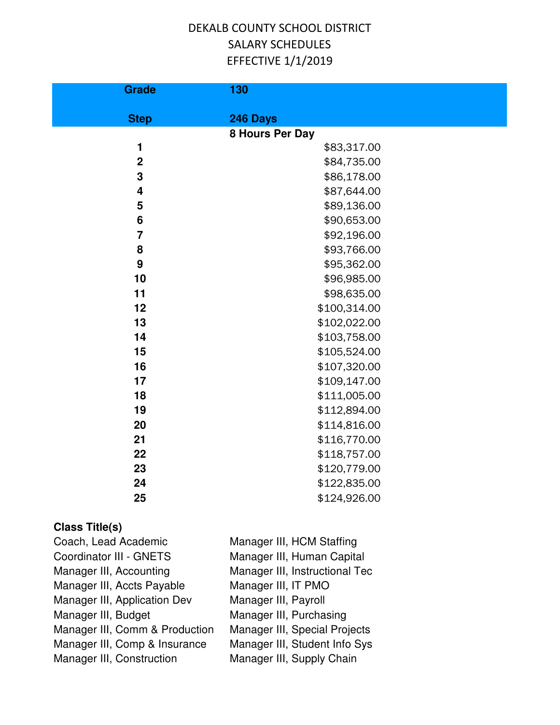| <b>Grade</b>            | 130             |
|-------------------------|-----------------|
| <b>Step</b>             | 246 Days        |
|                         | 8 Hours Per Day |
| 1                       | \$83,317.00     |
| $\overline{2}$          | \$84,735.00     |
| $\mathbf 3$             | \$86,178.00     |
| $\overline{\mathbf{4}}$ | \$87,644.00     |
| 5                       | \$89,136.00     |
| $6\phantom{1}$          | \$90,653.00     |
| $\overline{7}$          | \$92,196.00     |
| 8                       | \$93,766.00     |
| $\boldsymbol{9}$        | \$95,362.00     |
| 10                      | \$96,985.00     |
| 11                      | \$98,635.00     |
| 12                      | \$100,314.00    |
| 13                      | \$102,022.00    |
| 14                      | \$103,758.00    |
| 15                      | \$105,524.00    |
| 16                      | \$107,320.00    |
| 17                      | \$109,147.00    |
| 18                      | \$111,005.00    |
| 19                      | \$112,894.00    |
| 20                      | \$114,816.00    |
| 21                      | \$116,770.00    |
| 22                      | \$118,757.00    |
| 23                      | \$120,779.00    |
| 24                      | \$122,835.00    |
| 25                      | \$124,926.00    |
|                         |                 |

| Coach, Lead Academic           | Manager III, HCM Staffing      |
|--------------------------------|--------------------------------|
| Coordinator III - GNETS        | Manager III, Human Capital     |
| Manager III, Accounting        | Manager III, Instructional Tec |
| Manager III, Accts Payable     | Manager III, IT PMO            |
| Manager III, Application Dev   | Manager III, Payroll           |
| Manager III, Budget            | Manager III, Purchasing        |
| Manager III, Comm & Production | Manager III, Special Projects  |
| Manager III, Comp & Insurance  | Manager III, Student Info Sys  |
| Manager III, Construction      | Manager III, Supply Chain      |
|                                |                                |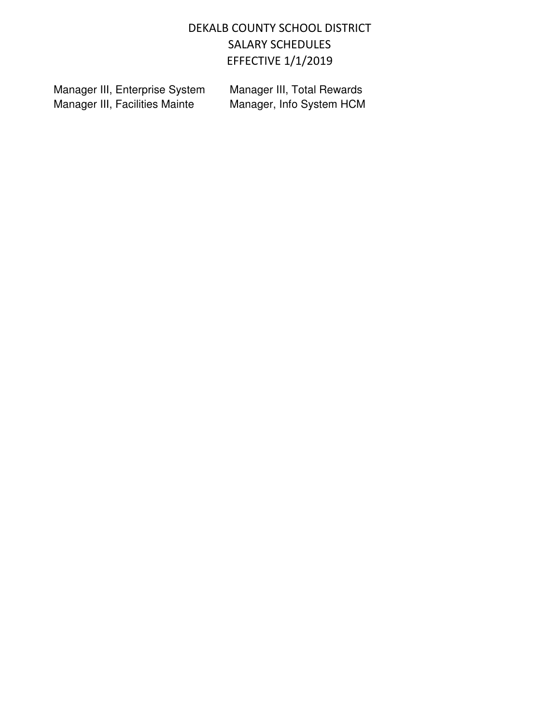Manager III, Enterprise System Manager III, Total Rewards<br>Manager III, Facilities Mainte Manager, Info System HCM Manager III, Facilities Mainte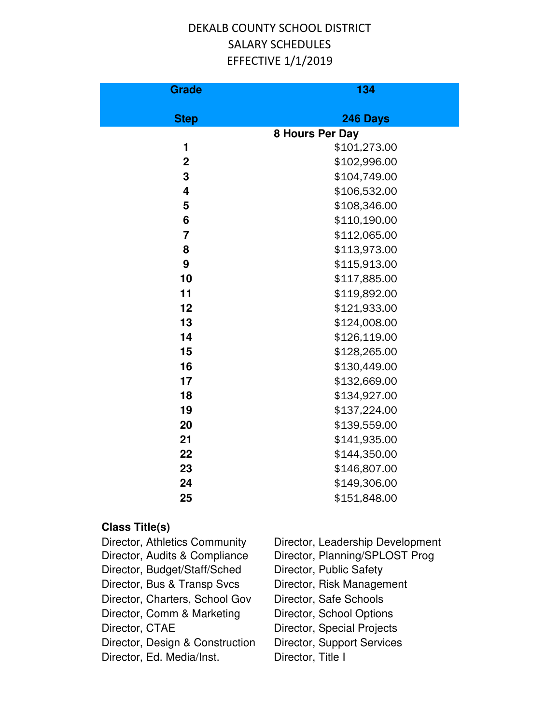| <b>Grade</b>   | 134             |
|----------------|-----------------|
| <b>Step</b>    | 246 Days        |
|                | 8 Hours Per Day |
| 1              | \$101,273.00    |
| $\overline{2}$ | \$102,996.00    |
| 3              | \$104,749.00    |
| 4              | \$106,532.00    |
| 5              | \$108,346.00    |
| 6              | \$110,190.00    |
| $\overline{7}$ | \$112,065.00    |
| 8              | \$113,973.00    |
| 9              | \$115,913.00    |
| 10             | \$117,885.00    |
| 11             | \$119,892.00    |
| 12             | \$121,933.00    |
| 13             | \$124,008.00    |
| 14             | \$126,119.00    |
| 15             | \$128,265.00    |
| 16             | \$130,449.00    |
| 17             | \$132,669.00    |
| 18             | \$134,927.00    |
| 19             | \$137,224.00    |
| 20             | \$139,559.00    |
| 21             | \$141,935.00    |
| 22             | \$144,350.00    |
| 23             | \$146,807.00    |
| 24             | \$149,306.00    |
| 25             | \$151,848.00    |

| Director, Athletics Community   | Director, Leadership Development  |
|---------------------------------|-----------------------------------|
| Director, Audits & Compliance   | Director, Planning/SPLOST Prog    |
| Director, Budget/Staff/Sched    | Director, Public Safety           |
| Director, Bus & Transp Svcs     | Director, Risk Management         |
| Director, Charters, School Gov  | Director, Safe Schools            |
| Director, Comm & Marketing      | Director, School Options          |
| Director, CTAE                  | <b>Director, Special Projects</b> |
| Director, Design & Construction | <b>Director, Support Services</b> |
| Director, Ed. Media/Inst.       | Director, Title I                 |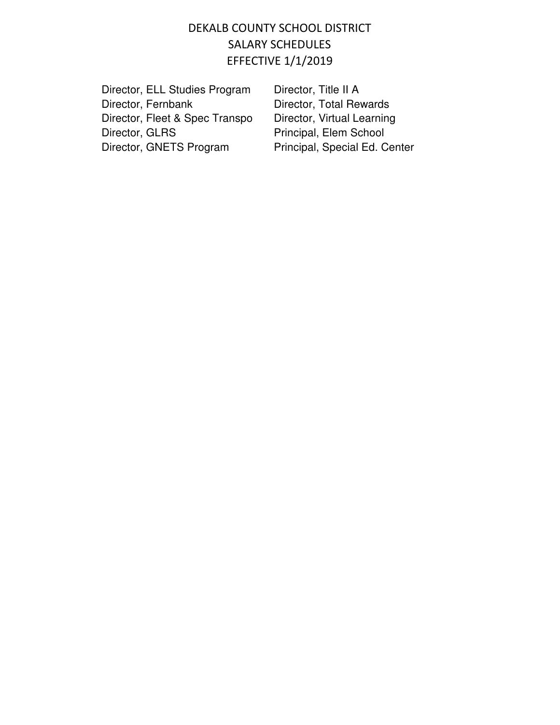| Director, ELL Studies Program  |  |
|--------------------------------|--|
| Director, Fernbank             |  |
| Director, Fleet & Spec Transpo |  |
| Director, GLRS                 |  |
| Director, GNETS Program        |  |

Director, Title II A Director, Total Rewards Director, Virtual Learning Principal, Elem School Principal, Special Ed. Center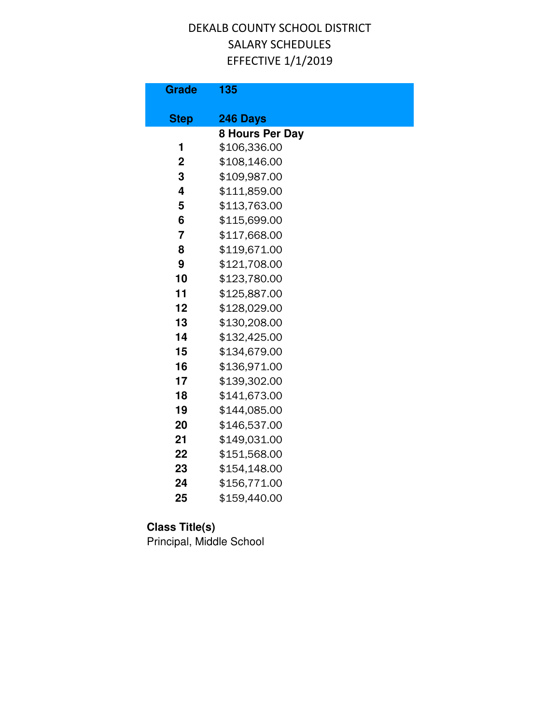| <b>Grade</b>   | 135             |
|----------------|-----------------|
| <b>Step</b>    | 246 Days        |
|                | 8 Hours Per Day |
| 1              | \$106,336.00    |
| $\mathbf 2$    | \$108,146.00    |
| 3              | \$109,987.00    |
| 4              | \$111,859.00    |
| 5              | \$113,763.00    |
| 6              | \$115,699.00    |
| $\overline{7}$ | \$117,668.00    |
| 8              | \$119,671.00    |
| 9              | \$121,708.00    |
| 10             | \$123,780.00    |
| 11             | \$125,887.00    |
| 12             | \$128,029.00    |
| 13             | \$130,208.00    |
| 14             | \$132,425.00    |
| 15             | \$134,679.00    |
| 16             | \$136,971.00    |
| 17             | \$139,302.00    |
| 18             | \$141,673.00    |
| 19             | \$144,085.00    |
| 20             | \$146,537.00    |
| 21             | \$149,031.00    |
| 22             | \$151,568.00    |
| 23             | \$154,148.00    |
| 24             | \$156,771.00    |
| 25             | \$159,440.00    |

# **Class Title(s)**

Principal, Middle School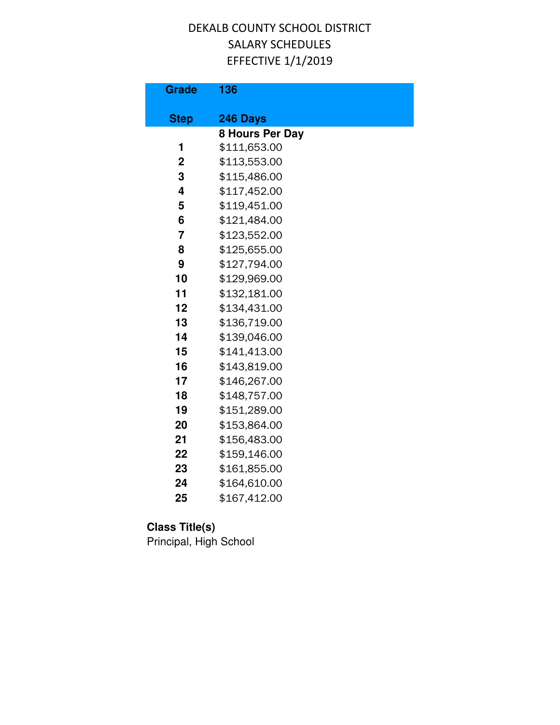| <b>Grade</b>   | 136                    |
|----------------|------------------------|
| <b>Step</b>    | 246 Days               |
|                | <b>8 Hours Per Day</b> |
| 1              | \$111,653.00           |
| $\mathbf 2$    | \$113,553.00           |
| 3              | \$115,486.00           |
| 4              | \$117,452.00           |
| 5              | \$119,451.00           |
| 6              | \$121,484.00           |
| $\overline{7}$ | \$123,552.00           |
| 8              | \$125,655.00           |
| 9              | \$127,794.00           |
| 10             | \$129,969.00           |
| 11             | \$132,181.00           |
| 12             | \$134,431.00           |
| 13             | \$136,719.00           |
| 14             | \$139,046.00           |
| 15             | \$141,413.00           |
| 16             | \$143,819.00           |
| 17             | \$146,267.00           |
| 18             | \$148,757.00           |
| 19             | \$151,289.00           |
| 20             | \$153,864.00           |
| 21             | \$156,483.00           |
| 22             | \$159,146.00           |
| 23             | \$161,855.00           |
| 24             | \$164,610.00           |
| 25             | \$167,412.00           |

# **Class Title(s)**

Principal, High School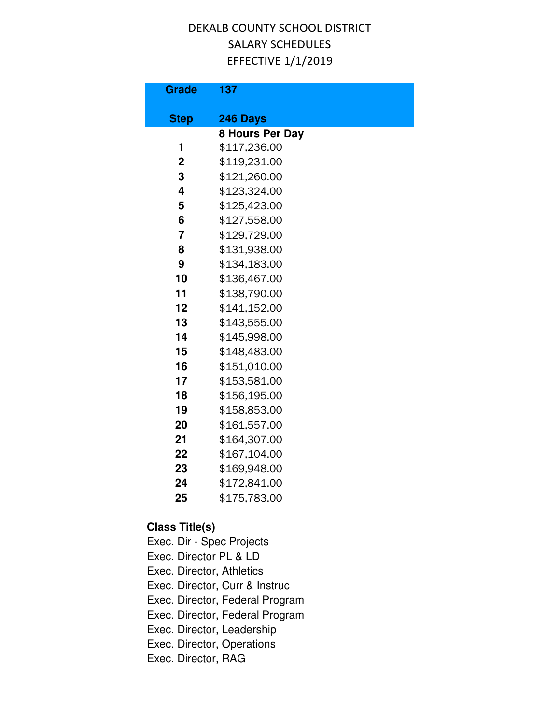| <b>Grade</b>     | 137             |
|------------------|-----------------|
| <b>Step</b>      | 246 Days        |
|                  | 8 Hours Per Day |
| 1                | \$117,236.00    |
| $\boldsymbol{2}$ | \$119,231.00    |
| 3                | \$121,260.00    |
| 4                | \$123,324.00    |
| 5                | \$125,423.00    |
| 6                | \$127,558.00    |
| 7                | \$129,729.00    |
| 8                | \$131,938.00    |
| 9                | \$134,183.00    |
| 10               | \$136,467.00    |
| 11               | \$138,790.00    |
| 12               | \$141,152.00    |
| 13               | \$143,555.00    |
| 14               | \$145,998.00    |
| 15               | \$148,483.00    |
| 16               | \$151,010.00    |
| 17               | \$153,581.00    |
| 18               | \$156,195.00    |
| 19               | \$158,853.00    |
| 20               | \$161,557.00    |
| 21               | \$164,307.00    |
| 22               | \$167,104.00    |
| 23               | \$169,948.00    |
| 24               | \$172,841.00    |
| 25               | \$175,783.00    |

**Class Title(s)**

Exec. Dir - Spec Projects Exec. Director PL & LD Exec. Director, Athletics Exec. Director, Curr & Instruc Exec. Director, Federal Program Exec. Director, Federal Program Exec. Director, Leadership Exec. Director, Operations Exec. Director, RAG